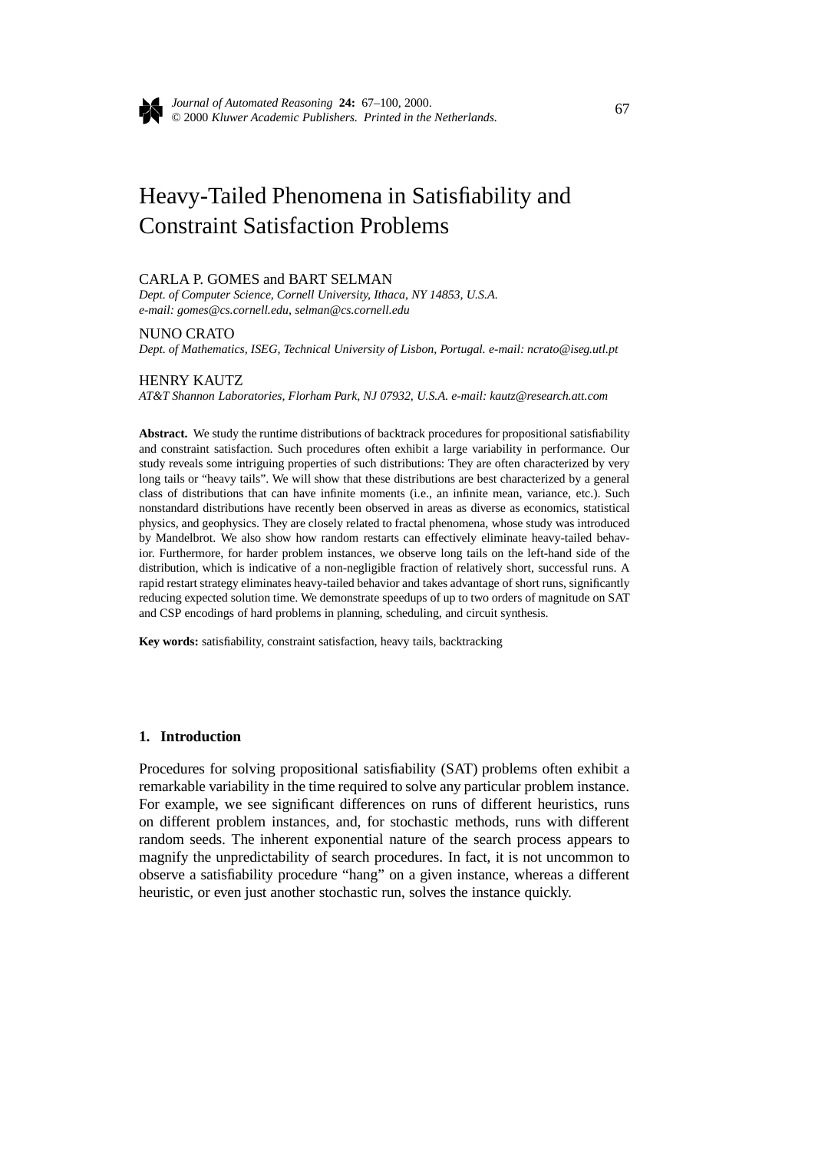

*Journal of Automated Reasoning* **24:** 67–100, 2000. © 2000 *Kluwer Academic Publishers. Printed in the Netherlands.* <sup>67</sup>

# Heavy-Tailed Phenomena in Satisfiability and Constraint Satisfaction Problems

#### CARLA P. GOMES and BART SELMAN

*Dept. of Computer Science, Cornell University, Ithaca, NY 14853, U.S.A. e-mail: gomes@cs.cornell.edu, selman@cs.cornell.edu*

## NUNO CRATO

*Dept. of Mathematics, ISEG, Technical University of Lisbon, Portugal. e-mail: ncrato@iseg.utl.pt*

#### HENRY KAUTZ

*AT&T Shannon Laboratories, Florham Park, NJ 07932, U.S.A. e-mail: kautz@research.att.com*

**Abstract.** We study the runtime distributions of backtrack procedures for propositional satisfiability and constraint satisfaction. Such procedures often exhibit a large variability in performance. Our study reveals some intriguing properties of such distributions: They are often characterized by very long tails or "heavy tails". We will show that these distributions are best characterized by a general class of distributions that can have infinite moments (i.e., an infinite mean, variance, etc.). Such nonstandard distributions have recently been observed in areas as diverse as economics, statistical physics, and geophysics. They are closely related to fractal phenomena, whose study was introduced by Mandelbrot. We also show how random restarts can effectively eliminate heavy-tailed behavior. Furthermore, for harder problem instances, we observe long tails on the left-hand side of the distribution, which is indicative of a non-negligible fraction of relatively short, successful runs. A rapid restart strategy eliminates heavy-tailed behavior and takes advantage of short runs, significantly reducing expected solution time. We demonstrate speedups of up to two orders of magnitude on SAT and CSP encodings of hard problems in planning, scheduling, and circuit synthesis.

**Key words:** satisfiability, constraint satisfaction, heavy tails, backtracking

## **1. Introduction**

Procedures for solving propositional satisfiability (SAT) problems often exhibit a remarkable variability in the time required to solve any particular problem instance. For example, we see significant differences on runs of different heuristics, runs on different problem instances, and, for stochastic methods, runs with different random seeds. The inherent exponential nature of the search process appears to magnify the unpredictability of search procedures. In fact, it is not uncommon to observe a satisfiability procedure "hang" on a given instance, whereas a different heuristic, or even just another stochastic run, solves the instance quickly.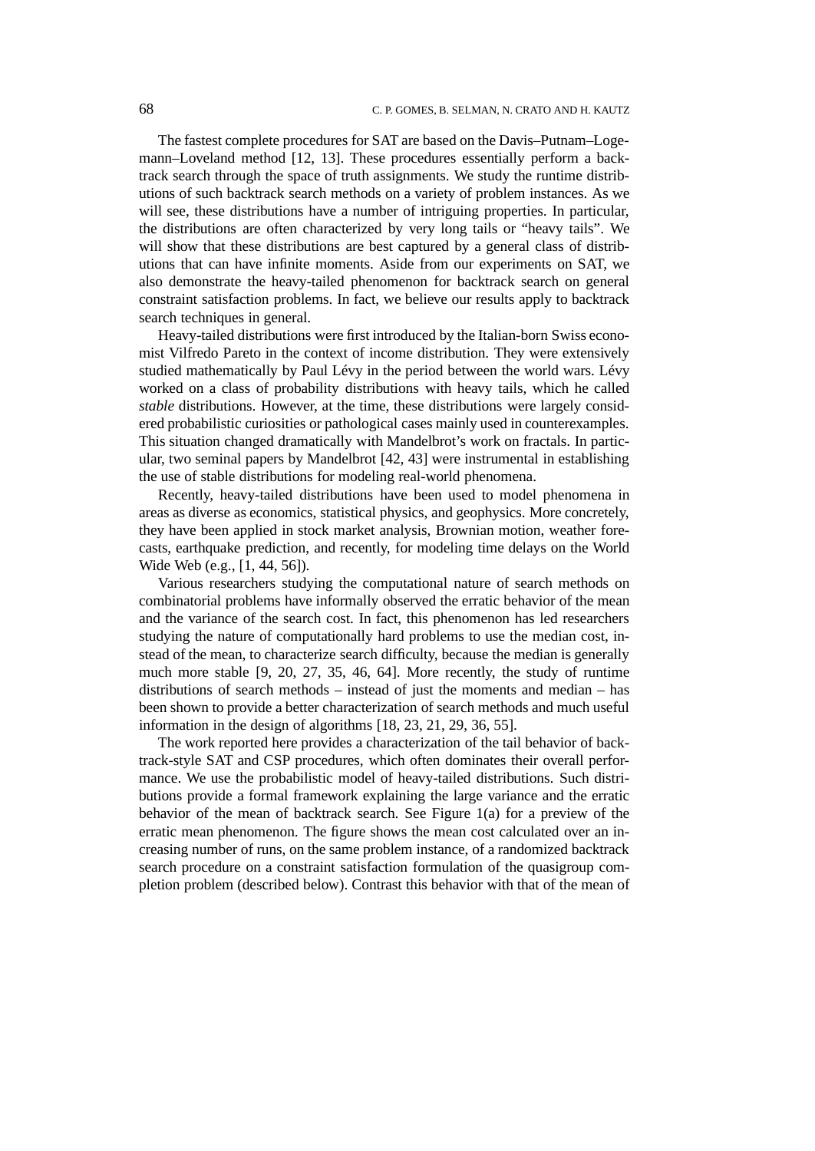The fastest complete procedures for SAT are based on the Davis–Putnam–Logemann–Loveland method [12, 13]. These procedures essentially perform a backtrack search through the space of truth assignments. We study the runtime distributions of such backtrack search methods on a variety of problem instances. As we will see, these distributions have a number of intriguing properties. In particular, the distributions are often characterized by very long tails or "heavy tails". We will show that these distributions are best captured by a general class of distributions that can have infinite moments. Aside from our experiments on SAT, we also demonstrate the heavy-tailed phenomenon for backtrack search on general constraint satisfaction problems. In fact, we believe our results apply to backtrack search techniques in general.

Heavy-tailed distributions were first introduced by the Italian-born Swiss economist Vilfredo Pareto in the context of income distribution. They were extensively studied mathematically by Paul Lévy in the period between the world wars. Lévy worked on a class of probability distributions with heavy tails, which he called *stable* distributions. However, at the time, these distributions were largely considered probabilistic curiosities or pathological cases mainly used in counterexamples. This situation changed dramatically with Mandelbrot's work on fractals. In particular, two seminal papers by Mandelbrot [42, 43] were instrumental in establishing the use of stable distributions for modeling real-world phenomena.

Recently, heavy-tailed distributions have been used to model phenomena in areas as diverse as economics, statistical physics, and geophysics. More concretely, they have been applied in stock market analysis, Brownian motion, weather forecasts, earthquake prediction, and recently, for modeling time delays on the World Wide Web (e.g., [1, 44, 56]).

Various researchers studying the computational nature of search methods on combinatorial problems have informally observed the erratic behavior of the mean and the variance of the search cost. In fact, this phenomenon has led researchers studying the nature of computationally hard problems to use the median cost, instead of the mean, to characterize search difficulty, because the median is generally much more stable [9, 20, 27, 35, 46, 64]. More recently, the study of runtime distributions of search methods – instead of just the moments and median – has been shown to provide a better characterization of search methods and much useful information in the design of algorithms [18, 23, 21, 29, 36, 55].

The work reported here provides a characterization of the tail behavior of backtrack-style SAT and CSP procedures, which often dominates their overall performance. We use the probabilistic model of heavy-tailed distributions. Such distributions provide a formal framework explaining the large variance and the erratic behavior of the mean of backtrack search. See Figure 1(a) for a preview of the erratic mean phenomenon. The figure shows the mean cost calculated over an increasing number of runs, on the same problem instance, of a randomized backtrack search procedure on a constraint satisfaction formulation of the quasigroup completion problem (described below). Contrast this behavior with that of the mean of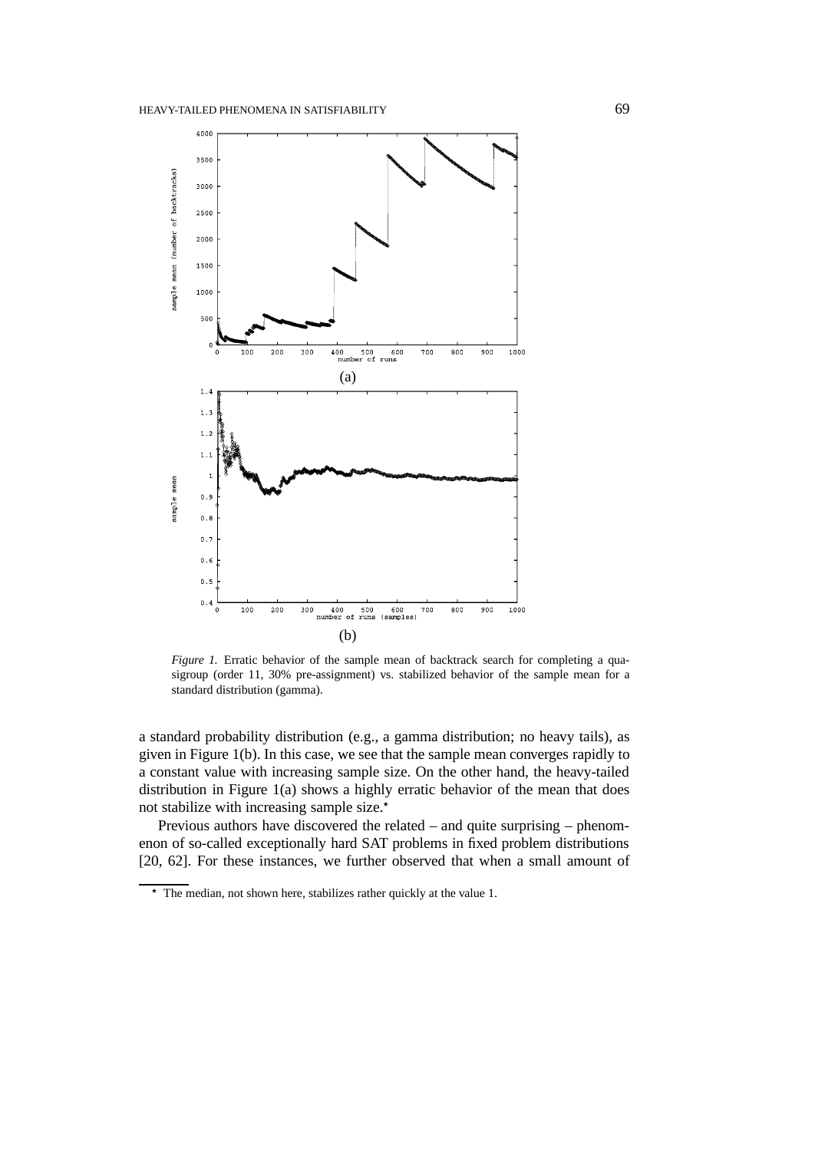

*Figure 1.* Erratic behavior of the sample mean of backtrack search for completing a quasigroup (order 11, 30% pre-assignment) vs. stabilized behavior of the sample mean for a standard distribution (gamma).

a standard probability distribution (e.g., a gamma distribution; no heavy tails), as given in Figure 1(b). In this case, we see that the sample mean converges rapidly to a constant value with increasing sample size. On the other hand, the heavy-tailed distribution in Figure 1(a) shows a highly erratic behavior of the mean that does not stabilize with increasing sample size.*?*

Previous authors have discovered the related – and quite surprising – phenomenon of so-called exceptionally hard SAT problems in fixed problem distributions [20, 62]. For these instances, we further observed that when a small amount of

*<sup>?</sup>* The median, not shown here, stabilizes rather quickly at the value 1.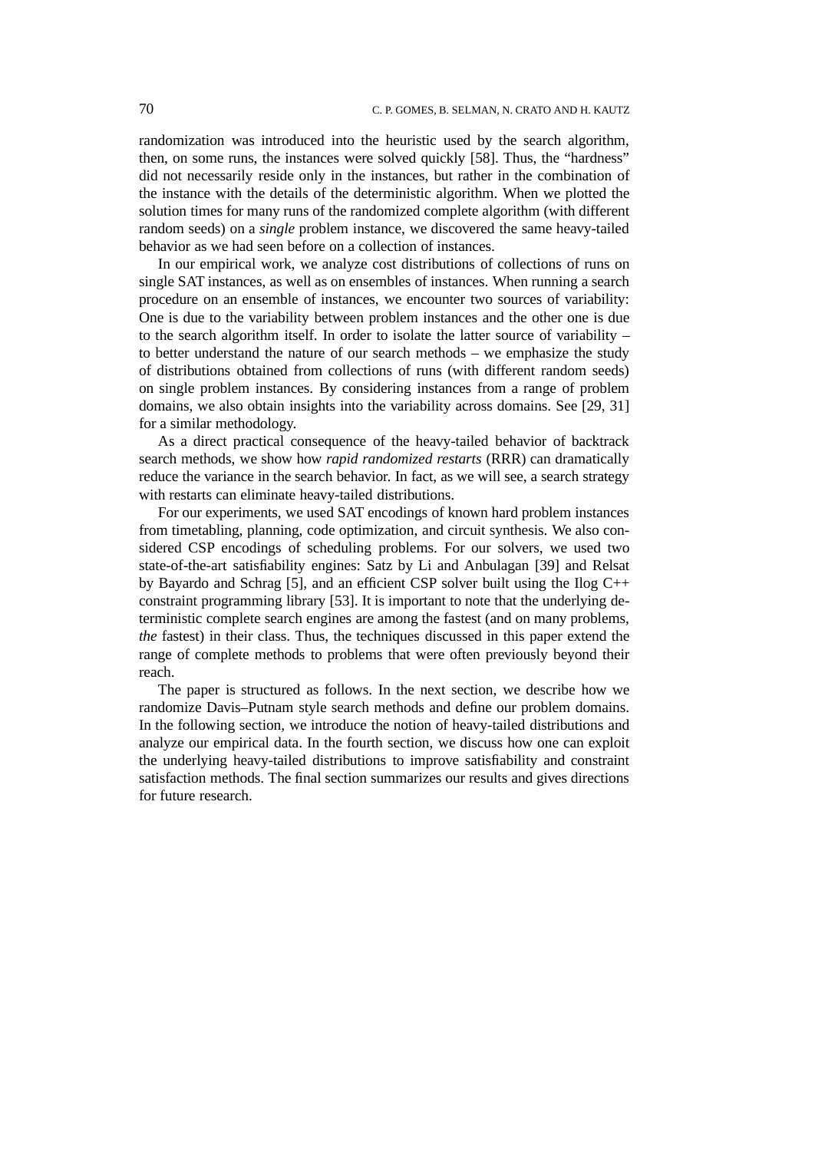randomization was introduced into the heuristic used by the search algorithm, then, on some runs, the instances were solved quickly [58]. Thus, the "hardness" did not necessarily reside only in the instances, but rather in the combination of the instance with the details of the deterministic algorithm. When we plotted the solution times for many runs of the randomized complete algorithm (with different random seeds) on a *single* problem instance, we discovered the same heavy-tailed behavior as we had seen before on a collection of instances.

In our empirical work, we analyze cost distributions of collections of runs on single SAT instances, as well as on ensembles of instances. When running a search procedure on an ensemble of instances, we encounter two sources of variability: One is due to the variability between problem instances and the other one is due to the search algorithm itself. In order to isolate the latter source of variability – to better understand the nature of our search methods – we emphasize the study of distributions obtained from collections of runs (with different random seeds) on single problem instances. By considering instances from a range of problem domains, we also obtain insights into the variability across domains. See [29, 31] for a similar methodology.

As a direct practical consequence of the heavy-tailed behavior of backtrack search methods, we show how *rapid randomized restarts* (RRR) can dramatically reduce the variance in the search behavior. In fact, as we will see, a search strategy with restarts can eliminate heavy-tailed distributions.

For our experiments, we used SAT encodings of known hard problem instances from timetabling, planning, code optimization, and circuit synthesis. We also considered CSP encodings of scheduling problems. For our solvers, we used two state-of-the-art satisfiability engines: Satz by Li and Anbulagan [39] and Relsat by Bayardo and Schrag [5], and an efficient CSP solver built using the Ilog C++ constraint programming library [53]. It is important to note that the underlying deterministic complete search engines are among the fastest (and on many problems, *the* fastest) in their class. Thus, the techniques discussed in this paper extend the range of complete methods to problems that were often previously beyond their reach.

The paper is structured as follows. In the next section, we describe how we randomize Davis–Putnam style search methods and define our problem domains. In the following section, we introduce the notion of heavy-tailed distributions and analyze our empirical data. In the fourth section, we discuss how one can exploit the underlying heavy-tailed distributions to improve satisfiability and constraint satisfaction methods. The final section summarizes our results and gives directions for future research.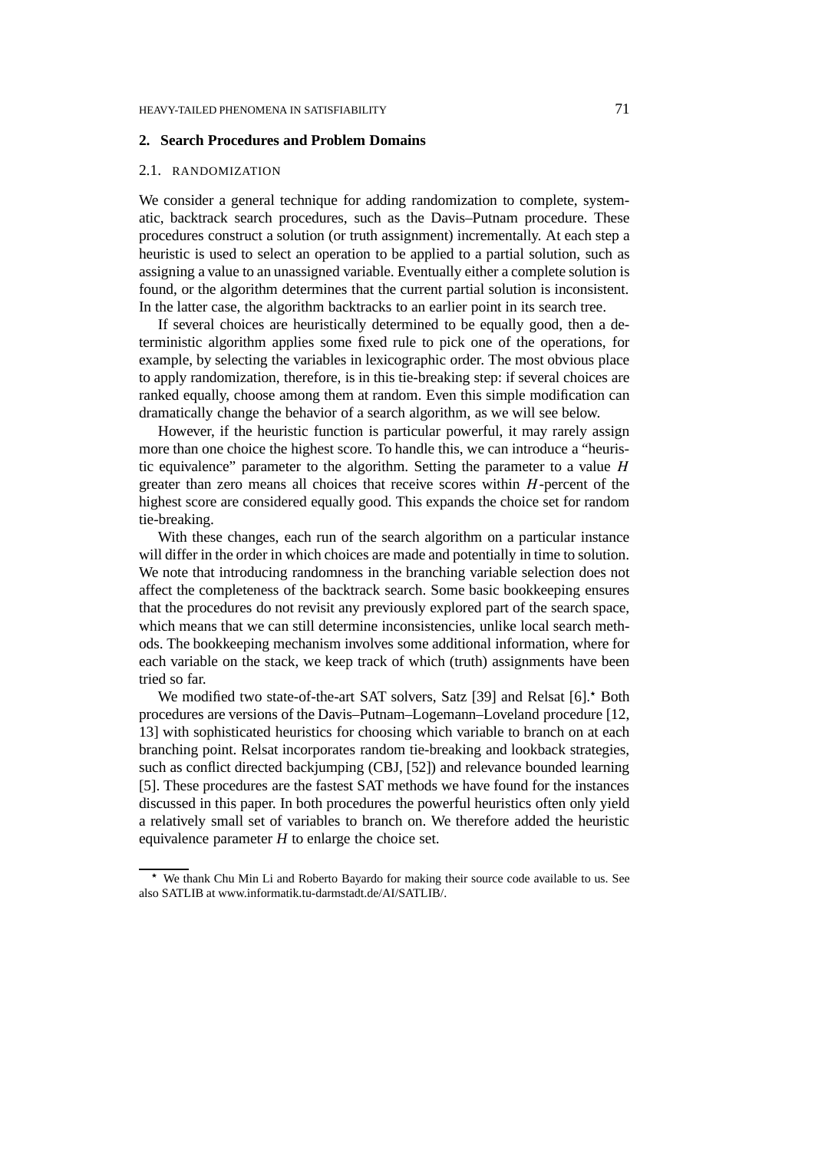# **2. Search Procedures and Problem Domains**

## 2.1. RANDOMIZATION

We consider a general technique for adding randomization to complete, systematic, backtrack search procedures, such as the Davis–Putnam procedure. These procedures construct a solution (or truth assignment) incrementally. At each step a heuristic is used to select an operation to be applied to a partial solution, such as assigning a value to an unassigned variable. Eventually either a complete solution is found, or the algorithm determines that the current partial solution is inconsistent. In the latter case, the algorithm backtracks to an earlier point in its search tree.

If several choices are heuristically determined to be equally good, then a deterministic algorithm applies some fixed rule to pick one of the operations, for example, by selecting the variables in lexicographic order. The most obvious place to apply randomization, therefore, is in this tie-breaking step: if several choices are ranked equally, choose among them at random. Even this simple modification can dramatically change the behavior of a search algorithm, as we will see below.

However, if the heuristic function is particular powerful, it may rarely assign more than one choice the highest score. To handle this, we can introduce a "heuristic equivalence" parameter to the algorithm. Setting the parameter to a value *H* greater than zero means all choices that receive scores within *H*-percent of the highest score are considered equally good. This expands the choice set for random tie-breaking.

With these changes, each run of the search algorithm on a particular instance will differ in the order in which choices are made and potentially in time to solution. We note that introducing randomness in the branching variable selection does not affect the completeness of the backtrack search. Some basic bookkeeping ensures that the procedures do not revisit any previously explored part of the search space, which means that we can still determine inconsistencies, unlike local search methods. The bookkeeping mechanism involves some additional information, where for each variable on the stack, we keep track of which (truth) assignments have been tried so far.

We modified two state-of-the-art SAT solvers, Satz [39] and Relsat [6].<sup>\*</sup> Both procedures are versions of the Davis–Putnam–Logemann–Loveland procedure [12, 13] with sophisticated heuristics for choosing which variable to branch on at each branching point. Relsat incorporates random tie-breaking and lookback strategies, such as conflict directed backjumping (CBJ, [52]) and relevance bounded learning [5]. These procedures are the fastest SAT methods we have found for the instances discussed in this paper. In both procedures the powerful heuristics often only yield a relatively small set of variables to branch on. We therefore added the heuristic equivalence parameter  $H$  to enlarge the choice set.

*<sup>?</sup>* We thank Chu Min Li and Roberto Bayardo for making their source code available to us. See also SATLIB at www.informatik.tu-darmstadt.de/AI/SATLIB/.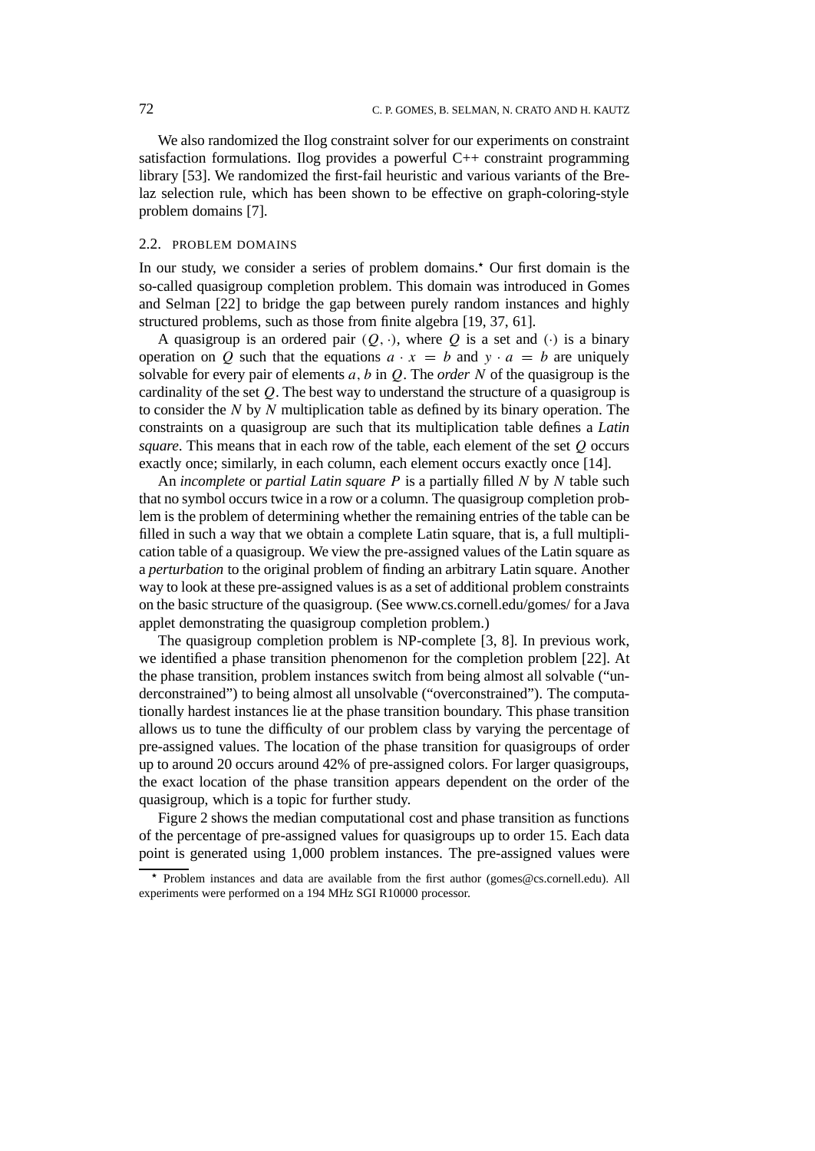We also randomized the Ilog constraint solver for our experiments on constraint satisfaction formulations. Ilog provides a powerful C++ constraint programming library [53]. We randomized the first-fail heuristic and various variants of the Brelaz selection rule, which has been shown to be effective on graph-coloring-style problem domains [7].

## 2.2. PROBLEM DOMAINS

In our study, we consider a series of problem domains.*?* Our first domain is the so-called quasigroup completion problem. This domain was introduced in Gomes and Selman [22] to bridge the gap between purely random instances and highly structured problems, such as those from finite algebra [19, 37, 61].

A quasigroup is an ordered pair  $(Q, \cdot)$ , where Q is a set and  $(\cdot)$  is a binary operation on *Q* such that the equations  $a \cdot x = b$  and  $y \cdot a = b$  are uniquely solvable for every pair of elements *a, b* in *Q*. The *order N* of the quasigroup is the cardinality of the set *Q*. The best way to understand the structure of a quasigroup is to consider the *N* by *N* multiplication table as defined by its binary operation. The constraints on a quasigroup are such that its multiplication table defines a *Latin square*. This means that in each row of the table, each element of the set *Q* occurs exactly once; similarly, in each column, each element occurs exactly once [14].

An *incomplete* or *partial Latin square P* is a partially filled *N* by *N* table such that no symbol occurs twice in a row or a column. The quasigroup completion problem is the problem of determining whether the remaining entries of the table can be filled in such a way that we obtain a complete Latin square, that is, a full multiplication table of a quasigroup. We view the pre-assigned values of the Latin square as a *perturbation* to the original problem of finding an arbitrary Latin square. Another way to look at these pre-assigned values is as a set of additional problem constraints on the basic structure of the quasigroup. (See www.cs.cornell.edu/gomes/ for a Java applet demonstrating the quasigroup completion problem.)

The quasigroup completion problem is NP-complete [3, 8]. In previous work, we identified a phase transition phenomenon for the completion problem [22]. At the phase transition, problem instances switch from being almost all solvable ("underconstrained") to being almost all unsolvable ("overconstrained"). The computationally hardest instances lie at the phase transition boundary. This phase transition allows us to tune the difficulty of our problem class by varying the percentage of pre-assigned values. The location of the phase transition for quasigroups of order up to around 20 occurs around 42% of pre-assigned colors. For larger quasigroups, the exact location of the phase transition appears dependent on the order of the quasigroup, which is a topic for further study.

Figure 2 shows the median computational cost and phase transition as functions of the percentage of pre-assigned values for quasigroups up to order 15. Each data point is generated using 1,000 problem instances. The pre-assigned values were

*<sup>?</sup>* Problem instances and data are available from the first author (gomes@cs.cornell.edu). All experiments were performed on a 194 MHz SGI R10000 processor.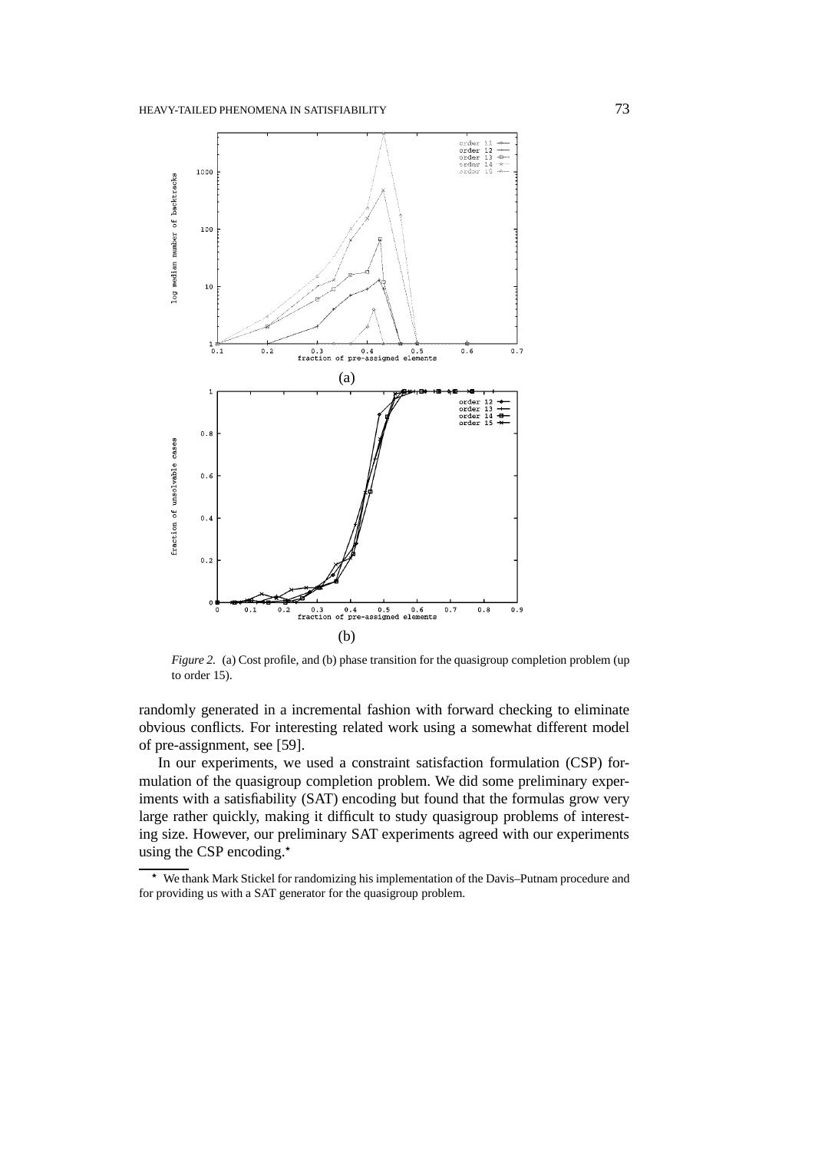

*Figure 2.* (a) Cost profile, and (b) phase transition for the quasigroup completion problem (up to order 15).

randomly generated in a incremental fashion with forward checking to eliminate obvious conflicts. For interesting related work using a somewhat different model of pre-assignment, see [59].

In our experiments, we used a constraint satisfaction formulation (CSP) formulation of the quasigroup completion problem. We did some preliminary experiments with a satisfiability (SAT) encoding but found that the formulas grow very large rather quickly, making it difficult to study quasigroup problems of interesting size. However, our preliminary SAT experiments agreed with our experiments using the CSP encoding.*?*

*<sup>?</sup>* We thank Mark Stickel for randomizing his implementation of the Davis–Putnam procedure and for providing us with a SAT generator for the quasigroup problem.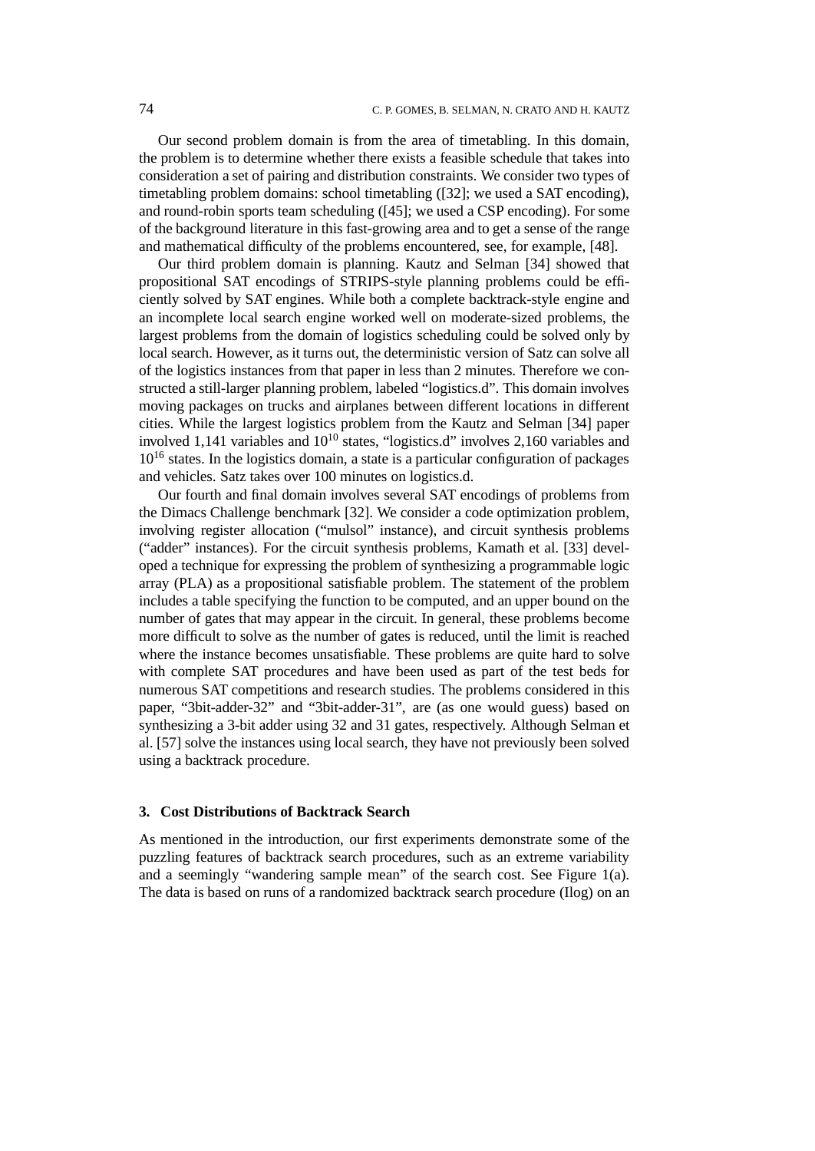Our second problem domain is from the area of timetabling. In this domain, the problem is to determine whether there exists a feasible schedule that takes into consideration a set of pairing and distribution constraints. We consider two types of timetabling problem domains: school timetabling ([32]; we used a SAT encoding), and round-robin sports team scheduling ([45]; we used a CSP encoding). For some of the background literature in this fast-growing area and to get a sense of the range and mathematical difficulty of the problems encountered, see, for example, [48].

Our third problem domain is planning. Kautz and Selman [34] showed that propositional SAT encodings of STRIPS-style planning problems could be efficiently solved by SAT engines. While both a complete backtrack-style engine and an incomplete local search engine worked well on moderate-sized problems, the largest problems from the domain of logistics scheduling could be solved only by local search. However, as it turns out, the deterministic version of Satz can solve all of the logistics instances from that paper in less than 2 minutes. Therefore we constructed a still-larger planning problem, labeled "logistics.d". This domain involves moving packages on trucks and airplanes between different locations in different cities. While the largest logistics problem from the Kautz and Selman [34] paper involved 1,141 variables and  $10^{10}$  states, "logistics.d" involves 2,160 variables and  $10^{16}$  states. In the logistics domain, a state is a particular configuration of packages and vehicles. Satz takes over 100 minutes on logistics.d.

Our fourth and final domain involves several SAT encodings of problems from the Dimacs Challenge benchmark [32]. We consider a code optimization problem, involving register allocation ("mulsol" instance), and circuit synthesis problems ("adder" instances). For the circuit synthesis problems, Kamath et al. [33] developed a technique for expressing the problem of synthesizing a programmable logic array (PLA) as a propositional satisfiable problem. The statement of the problem includes a table specifying the function to be computed, and an upper bound on the number of gates that may appear in the circuit. In general, these problems become more difficult to solve as the number of gates is reduced, until the limit is reached where the instance becomes unsatisfiable. These problems are quite hard to solve with complete SAT procedures and have been used as part of the test beds for numerous SAT competitions and research studies. The problems considered in this paper, "3bit-adder-32" and "3bit-adder-31", are (as one would guess) based on synthesizing a 3-bit adder using 32 and 31 gates, respectively. Although Selman et al. [57] solve the instances using local search, they have not previously been solved using a backtrack procedure.

## **3. Cost Distributions of Backtrack Search**

As mentioned in the introduction, our first experiments demonstrate some of the puzzling features of backtrack search procedures, such as an extreme variability and a seemingly "wandering sample mean" of the search cost. See Figure 1(a). The data is based on runs of a randomized backtrack search procedure (Ilog) on an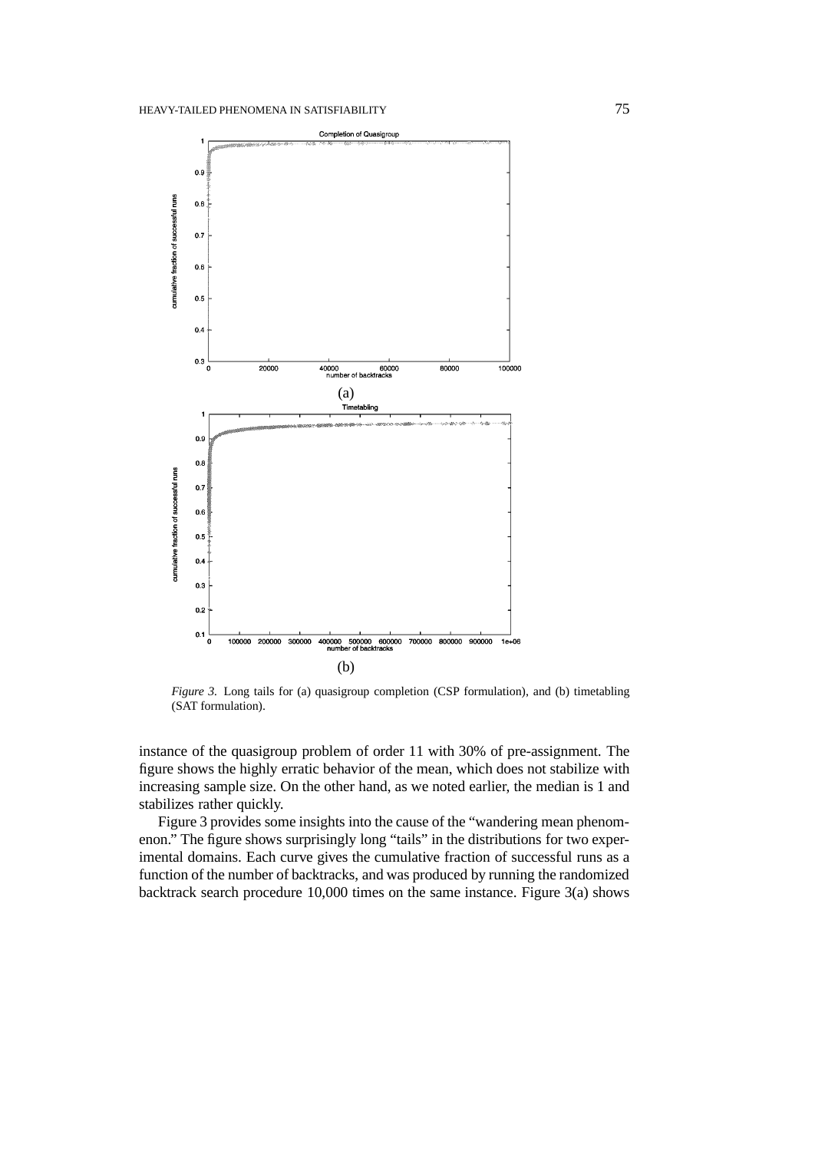

*Figure 3.* Long tails for (a) quasigroup completion (CSP formulation), and (b) timetabling (SAT formulation).

instance of the quasigroup problem of order 11 with 30% of pre-assignment. The figure shows the highly erratic behavior of the mean, which does not stabilize with increasing sample size. On the other hand, as we noted earlier, the median is 1 and stabilizes rather quickly.

Figure 3 provides some insights into the cause of the "wandering mean phenomenon." The figure shows surprisingly long "tails" in the distributions for two experimental domains. Each curve gives the cumulative fraction of successful runs as a function of the number of backtracks, and was produced by running the randomized backtrack search procedure 10,000 times on the same instance. Figure 3(a) shows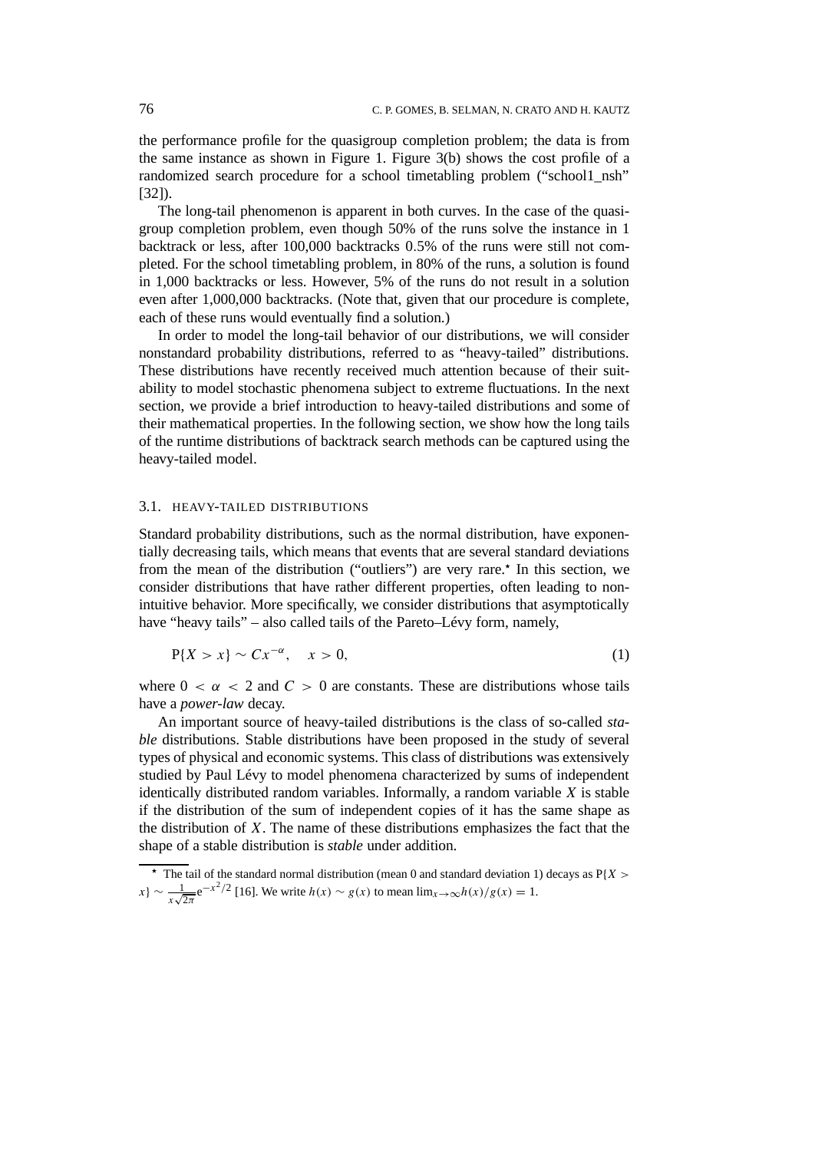the performance profile for the quasigroup completion problem; the data is from the same instance as shown in Figure 1. Figure 3(b) shows the cost profile of a randomized search procedure for a school timetabling problem ("school1 nsh" [32]).

The long-tail phenomenon is apparent in both curves. In the case of the quasigroup completion problem, even though 50% of the runs solve the instance in 1 backtrack or less, after 100,000 backtracks 0*.*5% of the runs were still not completed. For the school timetabling problem, in 80% of the runs, a solution is found in 1,000 backtracks or less. However, 5% of the runs do not result in a solution even after 1,000,000 backtracks. (Note that, given that our procedure is complete, each of these runs would eventually find a solution.)

In order to model the long-tail behavior of our distributions, we will consider nonstandard probability distributions, referred to as "heavy-tailed" distributions. These distributions have recently received much attention because of their suitability to model stochastic phenomena subject to extreme fluctuations. In the next section, we provide a brief introduction to heavy-tailed distributions and some of their mathematical properties. In the following section, we show how the long tails of the runtime distributions of backtrack search methods can be captured using the heavy-tailed model.

#### 3.1. HEAVY-TAILED DISTRIBUTIONS

Standard probability distributions, such as the normal distribution, have exponentially decreasing tails, which means that events that are several standard deviations from the mean of the distribution ("outliers") are very rare.*?* In this section, we consider distributions that have rather different properties, often leading to nonintuitive behavior. More specifically, we consider distributions that asymptotically have "heavy tails" – also called tails of the Pareto–Lévy form, namely,

$$
P\{X > x\} \sim C x^{-\alpha}, \quad x > 0,
$$
\n<sup>(1)</sup>

where  $0 < \alpha < 2$  and  $C > 0$  are constants. These are distributions whose tails have a *power-law* decay.

An important source of heavy-tailed distributions is the class of so-called *stable* distributions. Stable distributions have been proposed in the study of several types of physical and economic systems. This class of distributions was extensively studied by Paul Lévy to model phenomena characterized by sums of independent identically distributed random variables. Informally, a random variable *X* is stable if the distribution of the sum of independent copies of it has the same shape as the distribution of *X*. The name of these distributions emphasizes the fact that the shape of a stable distribution is *stable* under addition.

*<sup>?</sup>* The tail of the standard normal distribution (mean 0 and standard deviation 1) decays as P{*X > x*} ∼  $\frac{1}{x\sqrt{2\pi}}e^{-x^2/2}$  [16]. We write *h(x)* ∼ *g(x)* to mean  $\lim_{x\to\infty}$ *h(x)/g(x)* = 1.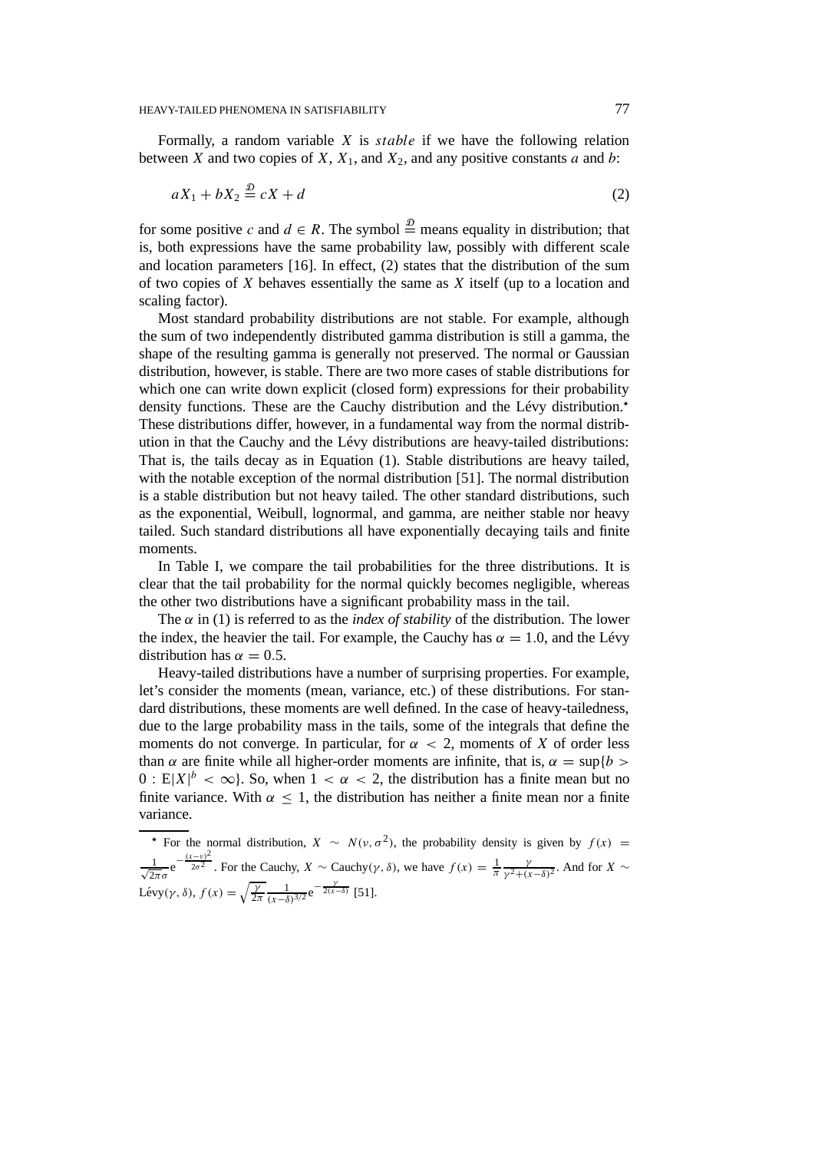Formally, a random variable *X* is *stable* if we have the following relation between *X* and two copies of *X*,  $X_1$ , and  $X_2$ , and any positive constants *a* and *b*:

$$
aX_1 + bX_2 \stackrel{\mathcal{D}}{=} cX + d \tag{2}
$$

for some positive *c* and  $d \in R$ . The symbol  $\stackrel{\mathcal{D}}{=}$  means equality in distribution; that is, both expressions have the same probability law, possibly with different scale and location parameters [16]. In effect, (2) states that the distribution of the sum of two copies of *X* behaves essentially the same as *X* itself (up to a location and scaling factor).

Most standard probability distributions are not stable. For example, although the sum of two independently distributed gamma distribution is still a gamma, the shape of the resulting gamma is generally not preserved. The normal or Gaussian distribution, however, is stable. There are two more cases of stable distributions for which one can write down explicit (closed form) expressions for their probability density functions. These are the Cauchy distribution and the Lévy distribution.*?* These distributions differ, however, in a fundamental way from the normal distribution in that the Cauchy and the Lévy distributions are heavy-tailed distributions: That is, the tails decay as in Equation (1). Stable distributions are heavy tailed, with the notable exception of the normal distribution [51]. The normal distribution is a stable distribution but not heavy tailed. The other standard distributions, such as the exponential, Weibull, lognormal, and gamma, are neither stable nor heavy tailed. Such standard distributions all have exponentially decaying tails and finite moments.

In Table I, we compare the tail probabilities for the three distributions. It is clear that the tail probability for the normal quickly becomes negligible, whereas the other two distributions have a significant probability mass in the tail.

The *α* in (1) is referred to as the *index of stability* of the distribution. The lower the index, the heavier the tail. For example, the Cauchy has  $\alpha = 1.0$ , and the Lévy distribution has  $\alpha = 0.5$ .

Heavy-tailed distributions have a number of surprising properties. For example, let's consider the moments (mean, variance, etc.) of these distributions. For standard distributions, these moments are well defined. In the case of heavy-tailedness, due to the large probability mass in the tails, some of the integrals that define the moments do not converge. In particular, for  $\alpha < 2$ , moments of *X* of order less than  $\alpha$  are finite while all higher-order moments are infinite, that is,  $\alpha = \sup\{b >$  $0: E|X|^b < \infty$ . So, when  $1 < \alpha < 2$ , the distribution has a finite mean but no finite variance. With  $\alpha \leq 1$ , the distribution has neither a finite mean nor a finite variance.

<sup>*\**</sup> For the normal distribution,  $X \sim N(\nu, \sigma^2)$ , the probability density is given by  $f(x) =$  $rac{1}{\sqrt{2\pi}\sigma}$ e  $-\frac{(x-v)^2}{2\sigma^2}$ . For the Cauchy, *X* ~ Cauchy(*γ*, *δ*), we have  $f(x) = \frac{1}{\pi} \frac{\gamma}{\gamma^2 + (x-\delta)^2}$ . And for *X* ~ Lévy( $\gamma$ ,  $\delta$ ),  $f(x) = \sqrt{\frac{\gamma}{2\pi}} \frac{1}{(x-\delta)^{3/2}} e^{-\frac{\gamma}{2(x-\delta)}}$  [51].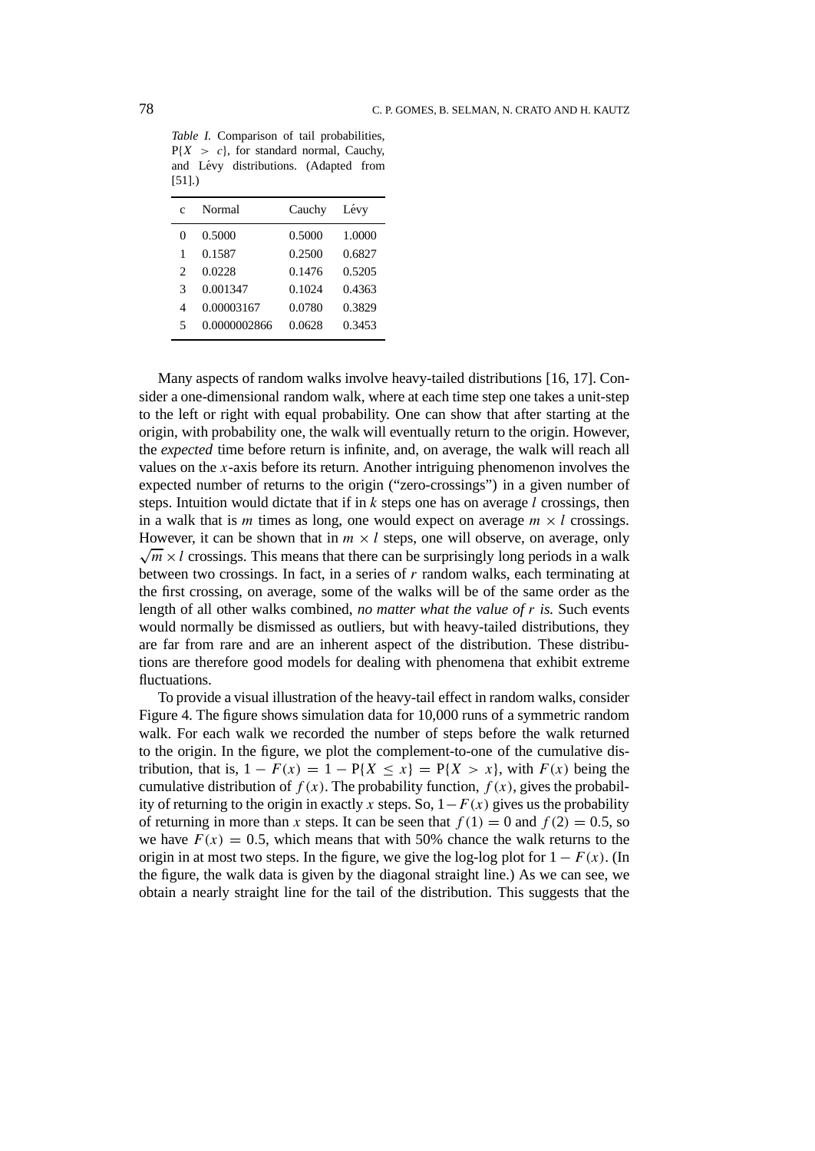*Table I.* Comparison of tail probabilities,  $P{X > c}$ , for standard normal, Cauchy, and Lévy distributions. (Adapted from [51].)

| $\mathcal{C}$               | Normal       | Cauchy | Lévy   |
|-----------------------------|--------------|--------|--------|
| $\mathbf{\Omega}$           | 0.5000       | 0.5000 | 1.0000 |
| 1                           | 0.1587       | 0.2500 | 0.6827 |
| $\mathcal{D}_{\mathcal{L}}$ | 0.0228       | 0.1476 | 0.5205 |
| 3                           | 0.001347     | 0.1024 | 0.4363 |
| 4                           | 0.00003167   | 0.0780 | 0.3829 |
| 5                           | 0.0000002866 | 0.0628 | 0.3453 |
|                             |              |        |        |

Many aspects of random walks involve heavy-tailed distributions [16, 17]. Consider a one-dimensional random walk, where at each time step one takes a unit-step to the left or right with equal probability. One can show that after starting at the origin, with probability one, the walk will eventually return to the origin. However, the *expected* time before return is infinite, and, on average, the walk will reach all values on the *x*-axis before its return. Another intriguing phenomenon involves the expected number of returns to the origin ("zero-crossings") in a given number of steps. Intuition would dictate that if in *k* steps one has on average *l* crossings, then in a walk that is *m* times as long, one would expect on average  $m \times l$  crossings. However, it can be shown that in  $m \times l$  steps, one will observe, on average, only  $\sqrt{m} \times l$  crossings. This means that there can be surprisingly long periods in a walk between two crossings. In fact, in a series of *r* random walks, each terminating at the first crossing, on average, some of the walks will be of the same order as the length of all other walks combined, *no matter what the value of r is.* Such events would normally be dismissed as outliers, but with heavy-tailed distributions, they are far from rare and are an inherent aspect of the distribution. These distributions are therefore good models for dealing with phenomena that exhibit extreme fluctuations.

To provide a visual illustration of the heavy-tail effect in random walks, consider Figure 4. The figure shows simulation data for 10,000 runs of a symmetric random walk. For each walk we recorded the number of steps before the walk returned to the origin. In the figure, we plot the complement-to-one of the cumulative distribution, that is,  $1 - F(x) = 1 - P\{X \le x\} = P\{X > x\}$ , with  $F(x)$  being the cumulative distribution of  $f(x)$ . The probability function,  $f(x)$ , gives the probability of returning to the origin in exactly *x* steps. So,  $1-F(x)$  gives us the probability of returning in more than *x* steps. It can be seen that  $f(1) = 0$  and  $f(2) = 0.5$ , so we have  $F(x) = 0.5$ , which means that with 50% chance the walk returns to the origin in at most two steps. In the figure, we give the log-log plot for  $1 - F(x)$ . (In the figure, the walk data is given by the diagonal straight line.) As we can see, we obtain a nearly straight line for the tail of the distribution. This suggests that the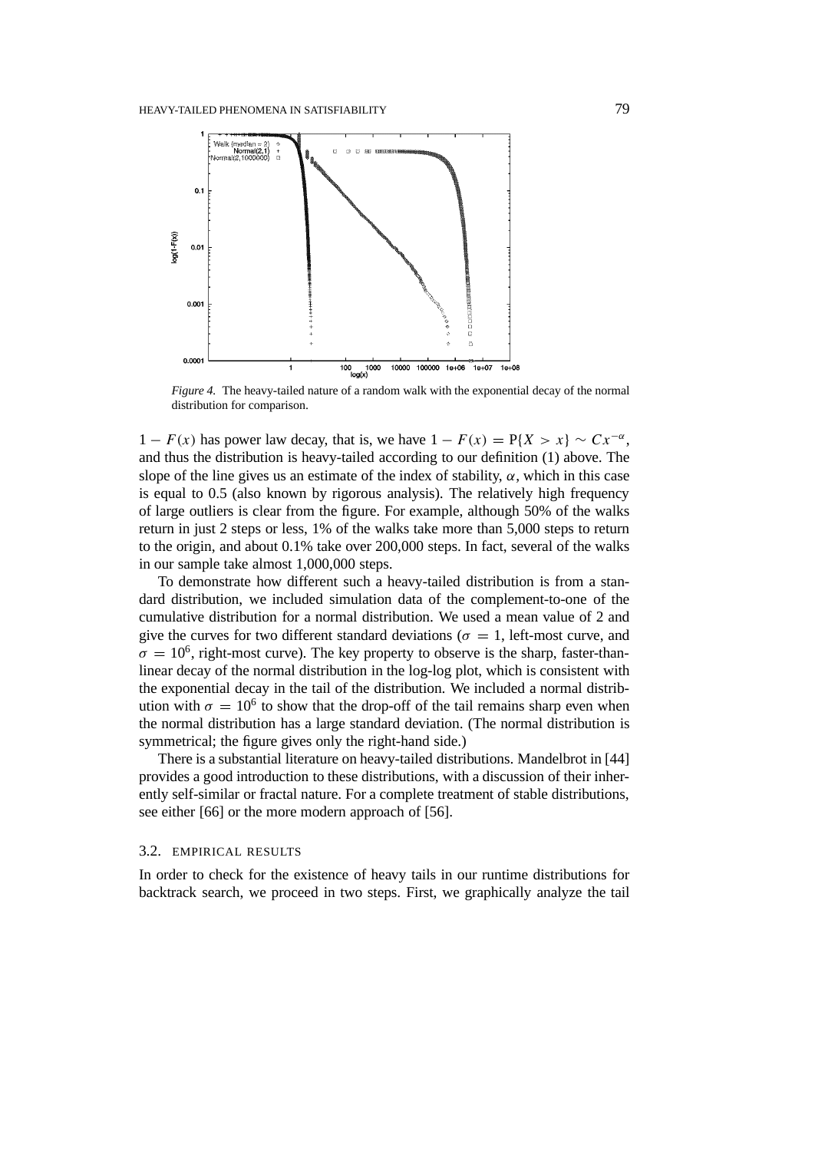

*Figure 4.* The heavy-tailed nature of a random walk with the exponential decay of the normal distribution for comparison.

1 − *F*(*x*) has power law decay, that is, we have  $1 - F(x) = P{X > x} ~ ∼~ Cx^{-\alpha}$ , and thus the distribution is heavy-tailed according to our definition (1) above. The slope of the line gives us an estimate of the index of stability,  $\alpha$ , which in this case is equal to 0.5 (also known by rigorous analysis). The relatively high frequency of large outliers is clear from the figure. For example, although 50% of the walks return in just 2 steps or less, 1% of the walks take more than 5,000 steps to return to the origin, and about 0.1% take over 200,000 steps. In fact, several of the walks in our sample take almost 1,000,000 steps.

To demonstrate how different such a heavy-tailed distribution is from a standard distribution, we included simulation data of the complement-to-one of the cumulative distribution for a normal distribution. We used a mean value of 2 and give the curves for two different standard deviations ( $\sigma = 1$ , left-most curve, and  $\sigma = 10^6$ , right-most curve). The key property to observe is the sharp, faster-thanlinear decay of the normal distribution in the log-log plot, which is consistent with the exponential decay in the tail of the distribution. We included a normal distribution with  $\sigma = 10^6$  to show that the drop-off of the tail remains sharp even when the normal distribution has a large standard deviation. (The normal distribution is symmetrical; the figure gives only the right-hand side.)

There is a substantial literature on heavy-tailed distributions. Mandelbrot in [44] provides a good introduction to these distributions, with a discussion of their inherently self-similar or fractal nature. For a complete treatment of stable distributions, see either [66] or the more modern approach of [56].

#### 3.2. EMPIRICAL RESULTS

In order to check for the existence of heavy tails in our runtime distributions for backtrack search, we proceed in two steps. First, we graphically analyze the tail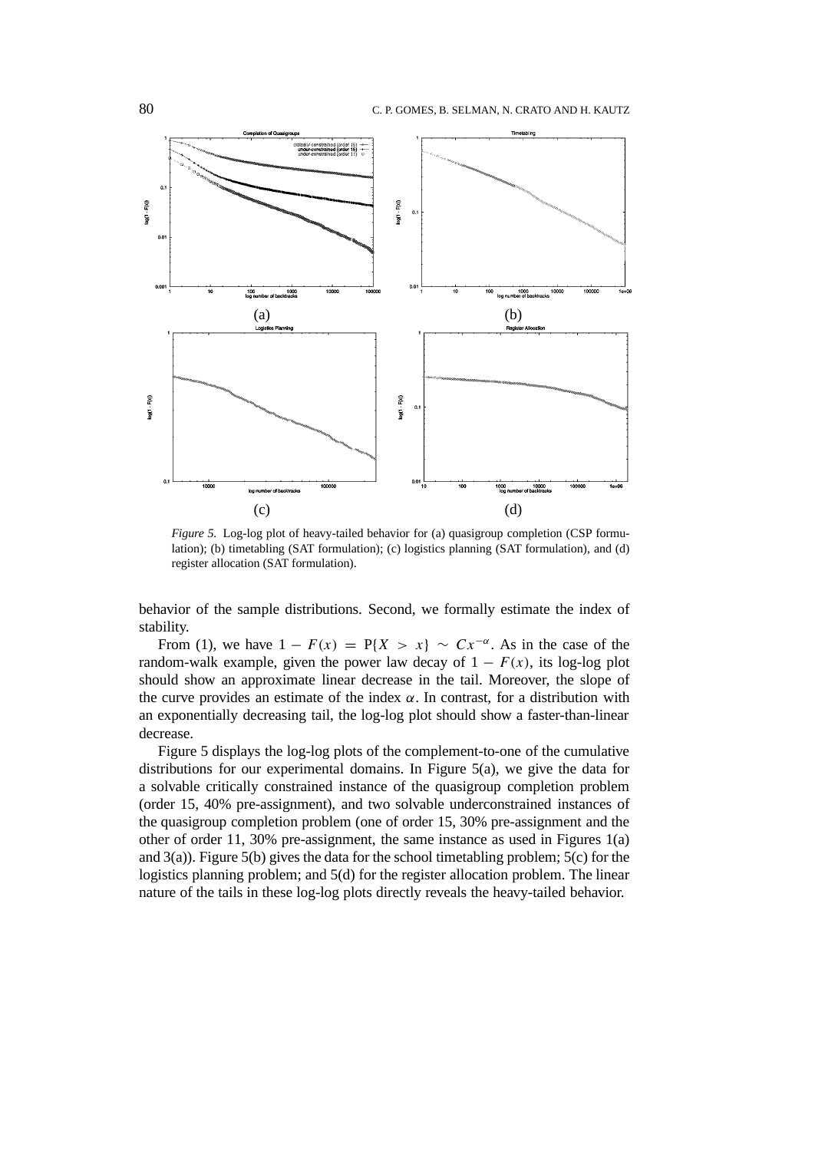

*Figure 5.* Log-log plot of heavy-tailed behavior for (a) quasigroup completion (CSP formulation); (b) timetabling (SAT formulation); (c) logistics planning (SAT formulation), and (d) register allocation (SAT formulation).

behavior of the sample distributions. Second, we formally estimate the index of stability.

From (1), we have  $1 - F(x) = P{X > x} \sim Cx^{-\alpha}$ . As in the case of the random-walk example, given the power law decay of  $1 - F(x)$ , its log-log plot should show an approximate linear decrease in the tail. Moreover, the slope of the curve provides an estimate of the index *α*. In contrast, for a distribution with an exponentially decreasing tail, the log-log plot should show a faster-than-linear decrease.

Figure 5 displays the log-log plots of the complement-to-one of the cumulative distributions for our experimental domains. In Figure 5(a), we give the data for a solvable critically constrained instance of the quasigroup completion problem (order 15, 40% pre-assignment), and two solvable underconstrained instances of the quasigroup completion problem (one of order 15, 30% pre-assignment and the other of order 11, 30% pre-assignment, the same instance as used in Figures 1(a) and 3(a)). Figure 5(b) gives the data for the school timetabling problem; 5(c) for the logistics planning problem; and 5(d) for the register allocation problem. The linear nature of the tails in these log-log plots directly reveals the heavy-tailed behavior.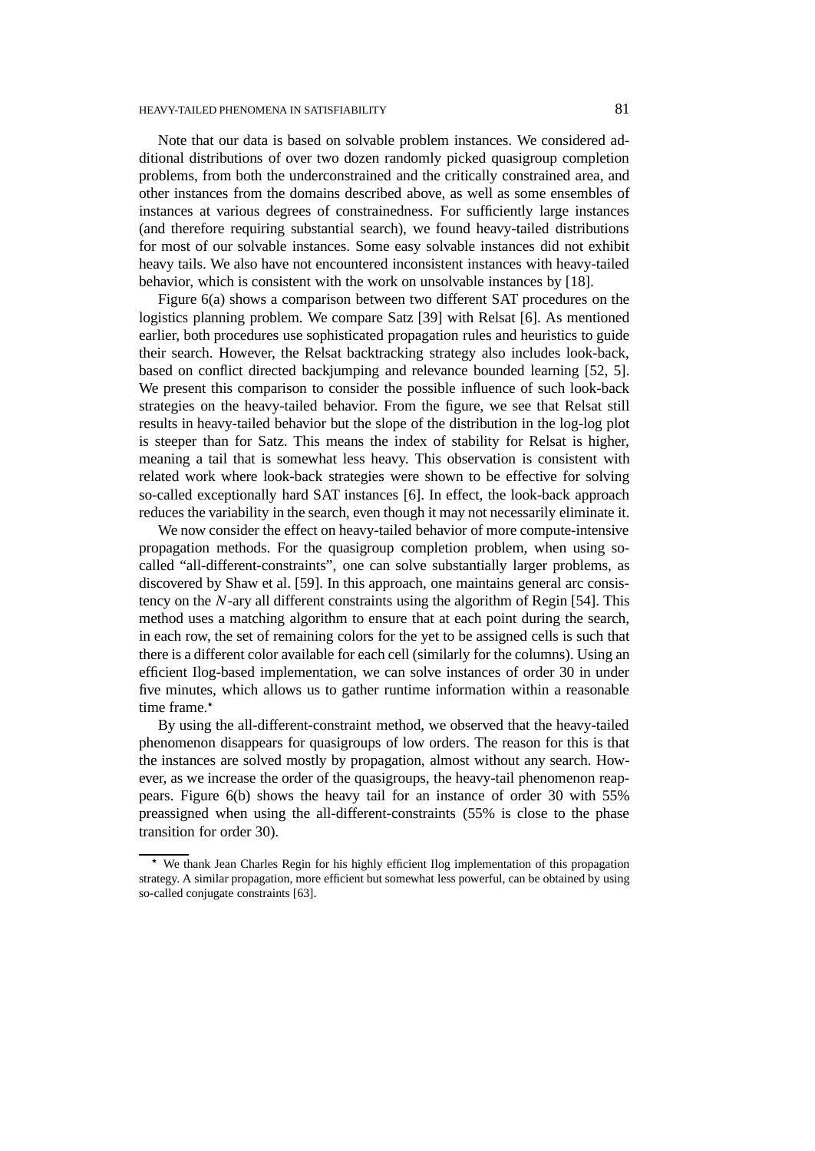#### HEAVY-TAILED PHENOMENA IN SATISFIABILITY 81

Note that our data is based on solvable problem instances. We considered additional distributions of over two dozen randomly picked quasigroup completion problems, from both the underconstrained and the critically constrained area, and other instances from the domains described above, as well as some ensembles of instances at various degrees of constrainedness. For sufficiently large instances (and therefore requiring substantial search), we found heavy-tailed distributions for most of our solvable instances. Some easy solvable instances did not exhibit heavy tails. We also have not encountered inconsistent instances with heavy-tailed behavior, which is consistent with the work on unsolvable instances by [18].

Figure 6(a) shows a comparison between two different SAT procedures on the logistics planning problem. We compare Satz [39] with Relsat [6]. As mentioned earlier, both procedures use sophisticated propagation rules and heuristics to guide their search. However, the Relsat backtracking strategy also includes look-back, based on conflict directed backjumping and relevance bounded learning [52, 5]. We present this comparison to consider the possible influence of such look-back strategies on the heavy-tailed behavior. From the figure, we see that Relsat still results in heavy-tailed behavior but the slope of the distribution in the log-log plot is steeper than for Satz. This means the index of stability for Relsat is higher, meaning a tail that is somewhat less heavy. This observation is consistent with related work where look-back strategies were shown to be effective for solving so-called exceptionally hard SAT instances [6]. In effect, the look-back approach reduces the variability in the search, even though it may not necessarily eliminate it.

We now consider the effect on heavy-tailed behavior of more compute-intensive propagation methods. For the quasigroup completion problem, when using socalled "all-different-constraints", one can solve substantially larger problems, as discovered by Shaw et al. [59]. In this approach, one maintains general arc consistency on the *N*-ary all different constraints using the algorithm of Regin [54]. This method uses a matching algorithm to ensure that at each point during the search, in each row, the set of remaining colors for the yet to be assigned cells is such that there is a different color available for each cell (similarly for the columns). Using an efficient Ilog-based implementation, we can solve instances of order 30 in under five minutes, which allows us to gather runtime information within a reasonable time frame.*?*

By using the all-different-constraint method, we observed that the heavy-tailed phenomenon disappears for quasigroups of low orders. The reason for this is that the instances are solved mostly by propagation, almost without any search. However, as we increase the order of the quasigroups, the heavy-tail phenomenon reappears. Figure 6(b) shows the heavy tail for an instance of order 30 with 55% preassigned when using the all-different-constraints (55% is close to the phase transition for order 30).

*<sup>?</sup>* We thank Jean Charles Regin for his highly efficient Ilog implementation of this propagation strategy. A similar propagation, more efficient but somewhat less powerful, can be obtained by using so-called conjugate constraints [63].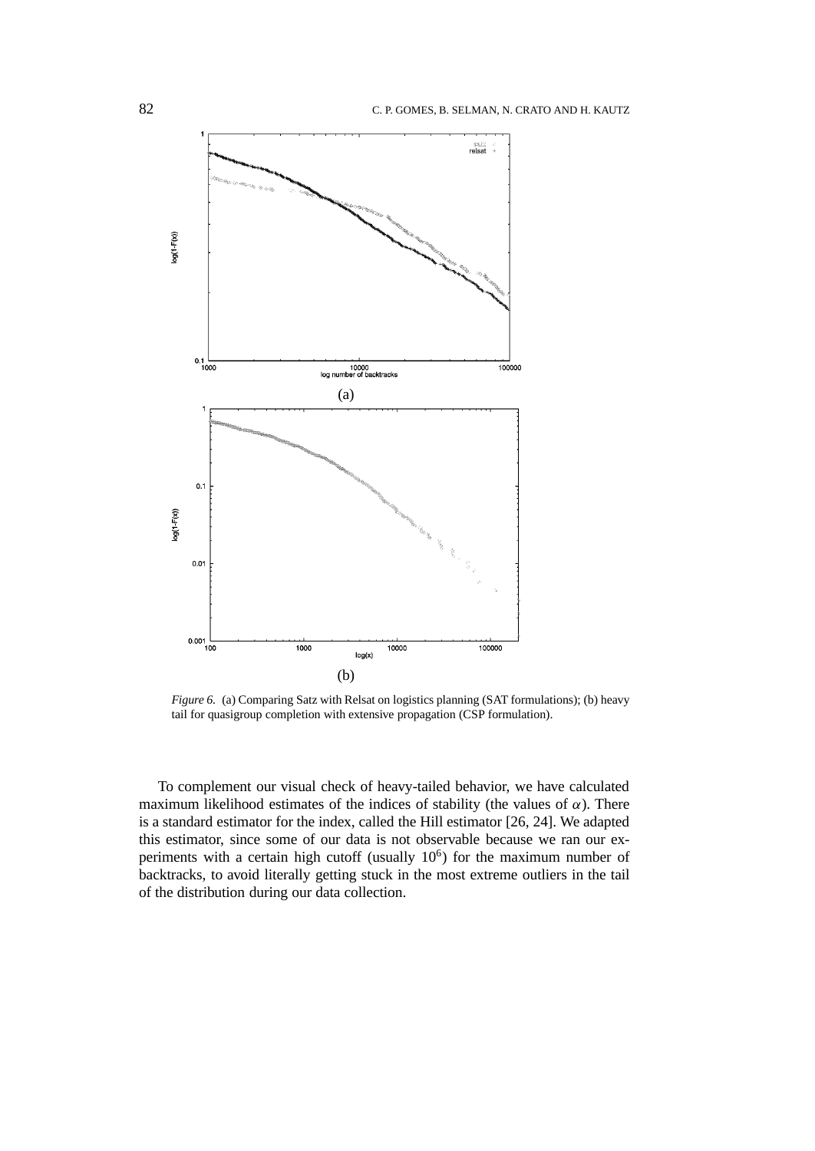

*Figure 6.* (a) Comparing Satz with Relsat on logistics planning (SAT formulations); (b) heavy tail for quasigroup completion with extensive propagation (CSP formulation).

To complement our visual check of heavy-tailed behavior, we have calculated maximum likelihood estimates of the indices of stability (the values of  $\alpha$ ). There is a standard estimator for the index, called the Hill estimator [26, 24]. We adapted this estimator, since some of our data is not observable because we ran our experiments with a certain high cutoff (usually  $10<sup>6</sup>$ ) for the maximum number of backtracks, to avoid literally getting stuck in the most extreme outliers in the tail of the distribution during our data collection.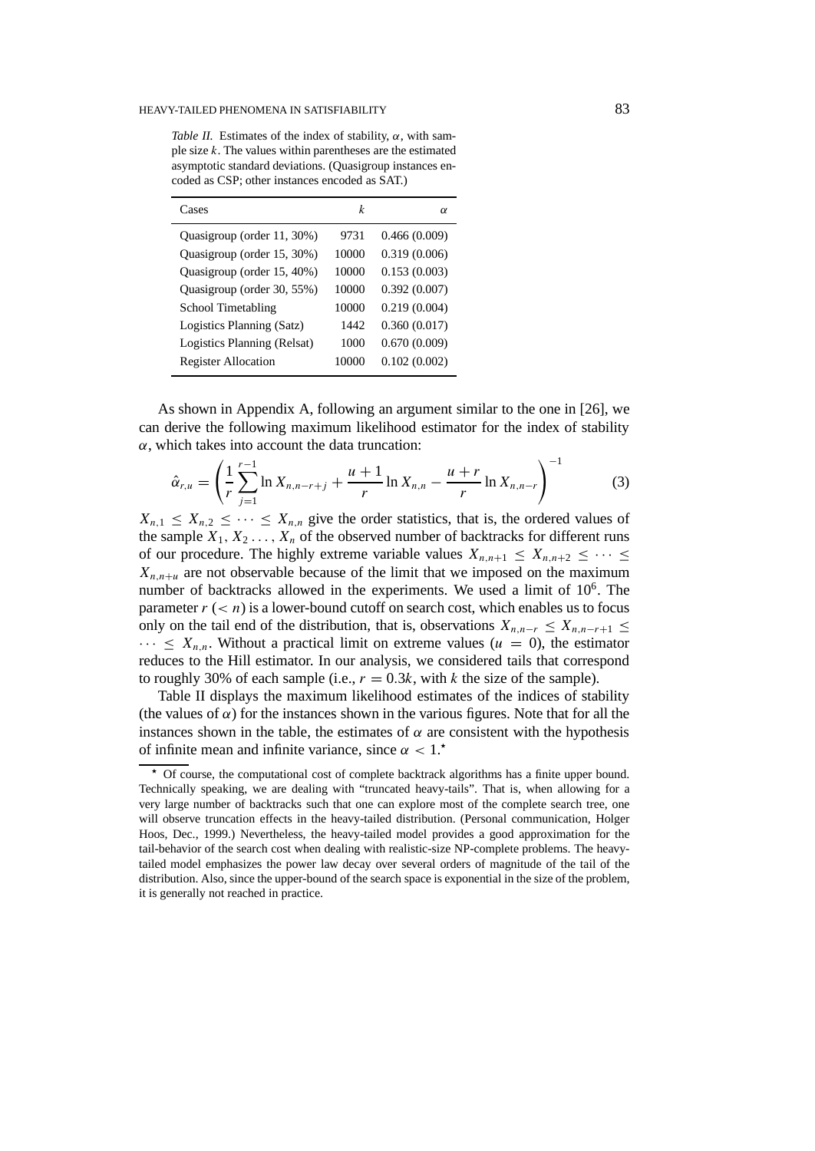*Table II.* Estimates of the index of stability,  $\alpha$ , with sample size *k*. The values within parentheses are the estimated asymptotic standard deviations. (Quasigroup instances encoded as CSP; other instances encoded as SAT.)

| Cases                       | k     | $\alpha$     |
|-----------------------------|-------|--------------|
| Quasigroup (order 11, 30%)  | 9731  | 0.466(0.009) |
| Quasigroup (order 15, 30%)  | 10000 | 0.319(0.006) |
| Quasigroup (order 15, 40%)  | 10000 | 0.153(0.003) |
| Quasigroup (order 30, 55%)  | 10000 | 0.392(0.007) |
| School Timetabling          | 10000 | 0.219(0.004) |
| Logistics Planning (Satz)   | 1442  | 0.360(0.017) |
| Logistics Planning (Relsat) | 1000  | 0.670(0.009) |
| <b>Register Allocation</b>  | 10000 | 0.102(0.002) |
|                             |       |              |

As shown in Appendix A, following an argument similar to the one in [26], we can derive the following maximum likelihood estimator for the index of stability  $\alpha$ , which takes into account the data truncation:

$$
\hat{\alpha}_{r,u} = \left(\frac{1}{r}\sum_{j=1}^{r-1} \ln X_{n,n-r+j} + \frac{u+1}{r} \ln X_{n,n} - \frac{u+r}{r} \ln X_{n,n-r}\right)^{-1} \tag{3}
$$

 $X_{n,1} \leq X_{n,2} \leq \cdots \leq X_{n,n}$  give the order statistics, that is, the ordered values of the sample  $X_1, X_2, \ldots, X_n$  of the observed number of backtracks for different runs of our procedure. The highly extreme variable values  $X_{n,n+1} \leq X_{n,n+2} \leq \cdots \leq$  $X_{n,n+u}$  are not observable because of the limit that we imposed on the maximum number of backtracks allowed in the experiments. We used a limit of  $10<sup>6</sup>$ . The parameter  $r$  ( $\lt n$ ) is a lower-bound cutoff on search cost, which enables us to focus only on the tail end of the distribution, that is, observations  $X_{n,n-r} \leq X_{n,n-r+1} \leq$  $\cdots \leq X_{n,n}$ . Without a practical limit on extreme values ( $u = 0$ ), the estimator reduces to the Hill estimator. In our analysis, we considered tails that correspond to roughly 30% of each sample (i.e.,  $r = 0.3k$ , with k the size of the sample).

Table II displays the maximum likelihood estimates of the indices of stability (the values of  $\alpha$ ) for the instances shown in the various figures. Note that for all the instances shown in the table, the estimates of  $\alpha$  are consistent with the hypothesis of infinite mean and infinite variance, since  $\alpha < 1$ .<sup>\*</sup>

*<sup>?</sup>* Of course, the computational cost of complete backtrack algorithms has a finite upper bound. Technically speaking, we are dealing with "truncated heavy-tails". That is, when allowing for a very large number of backtracks such that one can explore most of the complete search tree, one will observe truncation effects in the heavy-tailed distribution. (Personal communication, Holger Hoos, Dec., 1999.) Nevertheless, the heavy-tailed model provides a good approximation for the tail-behavior of the search cost when dealing with realistic-size NP-complete problems. The heavytailed model emphasizes the power law decay over several orders of magnitude of the tail of the distribution. Also, since the upper-bound of the search space is exponential in the size of the problem, it is generally not reached in practice.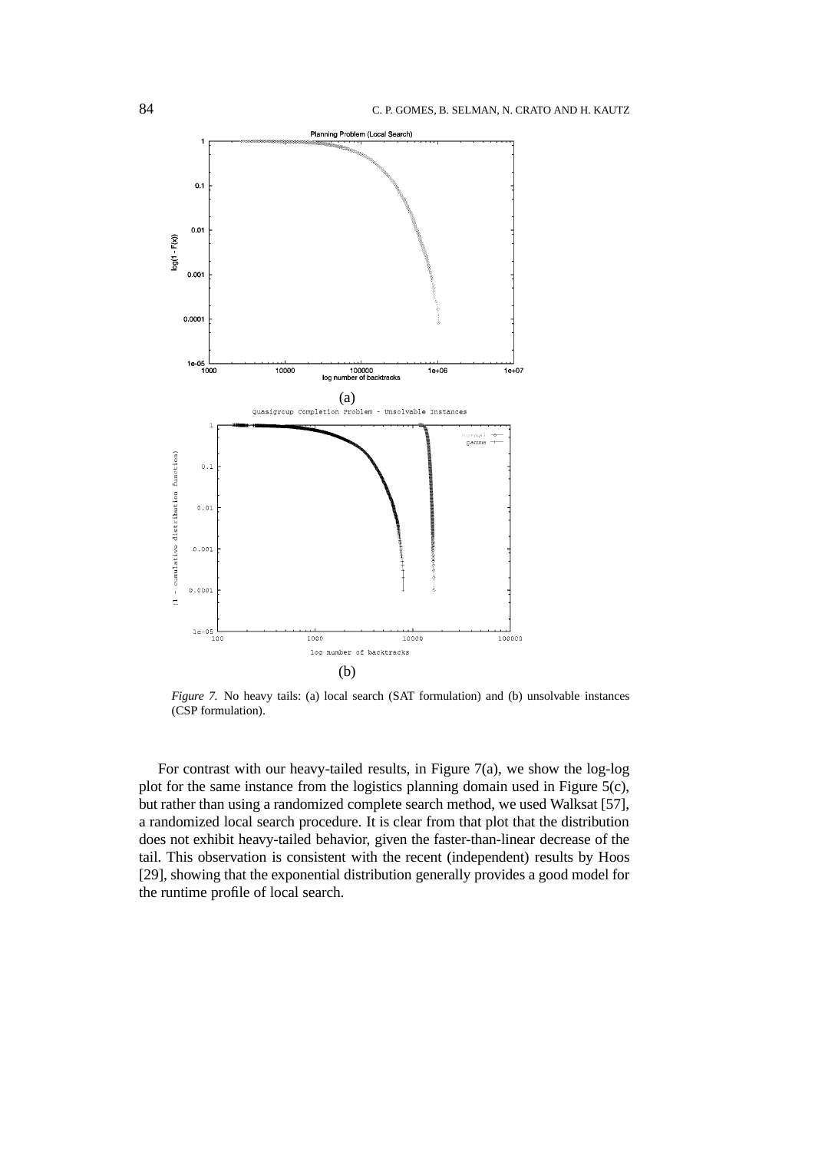

*Figure 7.* No heavy tails: (a) local search (SAT formulation) and (b) unsolvable instances (CSP formulation).

For contrast with our heavy-tailed results, in Figure 7(a), we show the log-log plot for the same instance from the logistics planning domain used in Figure 5(c), but rather than using a randomized complete search method, we used Walksat [57], a randomized local search procedure. It is clear from that plot that the distribution does not exhibit heavy-tailed behavior, given the faster-than-linear decrease of the tail. This observation is consistent with the recent (independent) results by Hoos [29], showing that the exponential distribution generally provides a good model for the runtime profile of local search.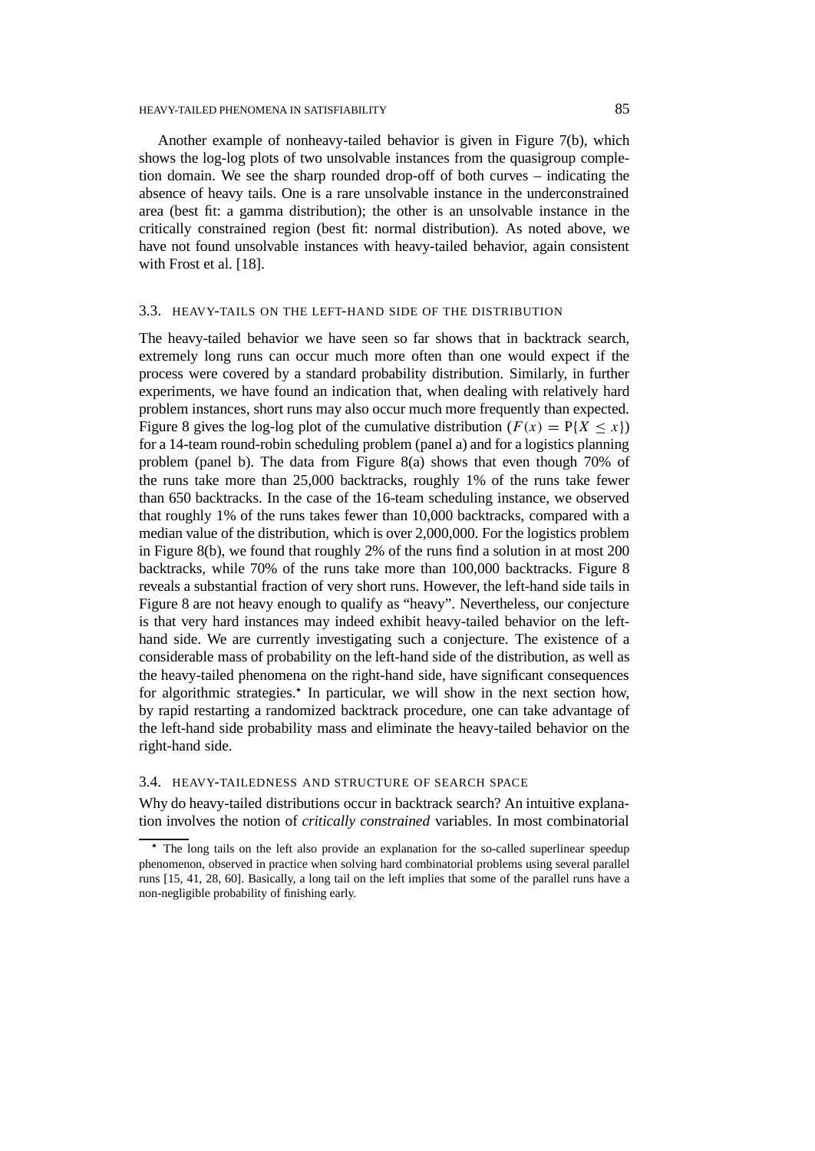#### HEAVY-TAILED PHENOMENA IN SATISFIABILITY 85

Another example of nonheavy-tailed behavior is given in Figure 7(b), which shows the log-log plots of two unsolvable instances from the quasigroup completion domain. We see the sharp rounded drop-off of both curves – indicating the absence of heavy tails. One is a rare unsolvable instance in the underconstrained area (best fit: a gamma distribution); the other is an unsolvable instance in the critically constrained region (best fit: normal distribution). As noted above, we have not found unsolvable instances with heavy-tailed behavior, again consistent with Frost et al. [18].

## 3.3. HEAVY-TAILS ON THE LEFT-HAND SIDE OF THE DISTRIBUTION

The heavy-tailed behavior we have seen so far shows that in backtrack search, extremely long runs can occur much more often than one would expect if the process were covered by a standard probability distribution. Similarly, in further experiments, we have found an indication that, when dealing with relatively hard problem instances, short runs may also occur much more frequently than expected. Figure 8 gives the log-log plot of the cumulative distribution  $(F(x) = P{X \leq x})$ for a 14-team round-robin scheduling problem (panel a) and for a logistics planning problem (panel b). The data from Figure 8(a) shows that even though 70% of the runs take more than 25,000 backtracks, roughly 1% of the runs take fewer than 650 backtracks. In the case of the 16-team scheduling instance, we observed that roughly 1% of the runs takes fewer than 10,000 backtracks, compared with a median value of the distribution, which is over 2,000,000. For the logistics problem in Figure 8(b), we found that roughly 2% of the runs find a solution in at most 200 backtracks, while 70% of the runs take more than 100,000 backtracks. Figure 8 reveals a substantial fraction of very short runs. However, the left-hand side tails in Figure 8 are not heavy enough to qualify as "heavy". Nevertheless, our conjecture is that very hard instances may indeed exhibit heavy-tailed behavior on the lefthand side. We are currently investigating such a conjecture. The existence of a considerable mass of probability on the left-hand side of the distribution, as well as the heavy-tailed phenomena on the right-hand side, have significant consequences for algorithmic strategies.*?* In particular, we will show in the next section how, by rapid restarting a randomized backtrack procedure, one can take advantage of the left-hand side probability mass and eliminate the heavy-tailed behavior on the right-hand side.

#### 3.4. HEAVY-TAILEDNESS AND STRUCTURE OF SEARCH SPACE

Why do heavy-tailed distributions occur in backtrack search? An intuitive explanation involves the notion of *critically constrained* variables. In most combinatorial

*<sup>?</sup>* The long tails on the left also provide an explanation for the so-called superlinear speedup phenomenon, observed in practice when solving hard combinatorial problems using several parallel runs [15, 41, 28, 60]. Basically, a long tail on the left implies that some of the parallel runs have a non-negligible probability of finishing early.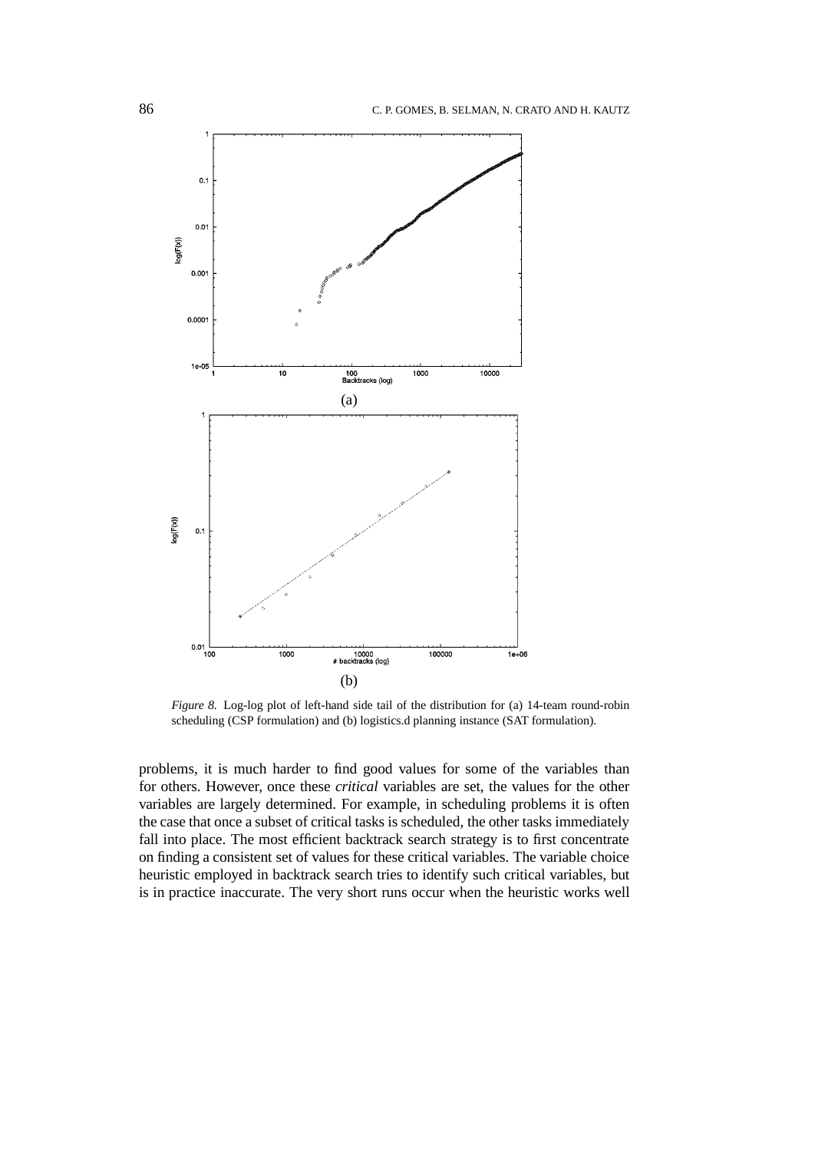

*Figure 8.* Log-log plot of left-hand side tail of the distribution for (a) 14-team round-robin scheduling (CSP formulation) and (b) logistics.d planning instance (SAT formulation).

problems, it is much harder to find good values for some of the variables than for others. However, once these *critical* variables are set, the values for the other variables are largely determined. For example, in scheduling problems it is often the case that once a subset of critical tasks is scheduled, the other tasks immediately fall into place. The most efficient backtrack search strategy is to first concentrate on finding a consistent set of values for these critical variables. The variable choice heuristic employed in backtrack search tries to identify such critical variables, but is in practice inaccurate. The very short runs occur when the heuristic works well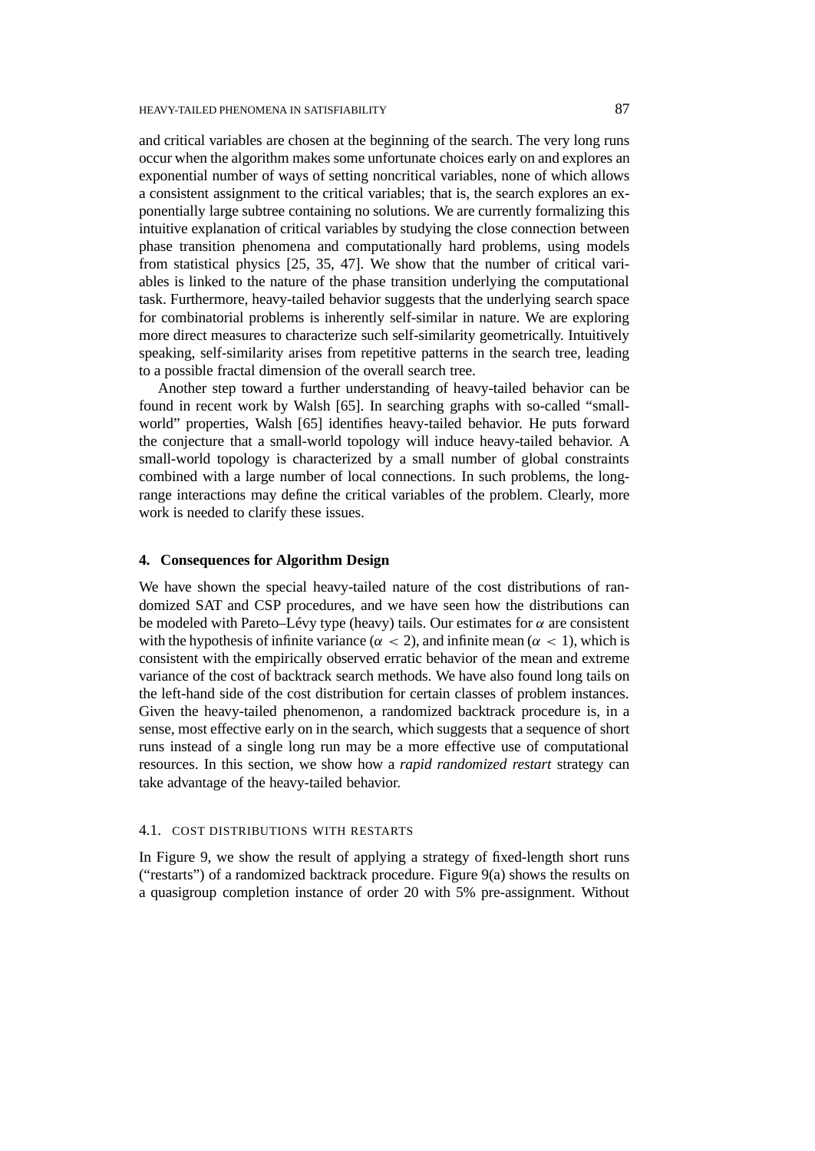and critical variables are chosen at the beginning of the search. The very long runs occur when the algorithm makes some unfortunate choices early on and explores an exponential number of ways of setting noncritical variables, none of which allows a consistent assignment to the critical variables; that is, the search explores an exponentially large subtree containing no solutions. We are currently formalizing this intuitive explanation of critical variables by studying the close connection between phase transition phenomena and computationally hard problems, using models from statistical physics [25, 35, 47]. We show that the number of critical variables is linked to the nature of the phase transition underlying the computational task. Furthermore, heavy-tailed behavior suggests that the underlying search space for combinatorial problems is inherently self-similar in nature. We are exploring more direct measures to characterize such self-similarity geometrically. Intuitively speaking, self-similarity arises from repetitive patterns in the search tree, leading to a possible fractal dimension of the overall search tree.

Another step toward a further understanding of heavy-tailed behavior can be found in recent work by Walsh [65]. In searching graphs with so-called "smallworld" properties, Walsh [65] identifies heavy-tailed behavior. He puts forward the conjecture that a small-world topology will induce heavy-tailed behavior. A small-world topology is characterized by a small number of global constraints combined with a large number of local connections. In such problems, the longrange interactions may define the critical variables of the problem. Clearly, more work is needed to clarify these issues.

## **4. Consequences for Algorithm Design**

We have shown the special heavy-tailed nature of the cost distributions of randomized SAT and CSP procedures, and we have seen how the distributions can be modeled with Pareto–Lévy type (heavy) tails. Our estimates for *α* are consistent with the hypothesis of infinite variance ( $\alpha$  < 2), and infinite mean ( $\alpha$  < 1), which is consistent with the empirically observed erratic behavior of the mean and extreme variance of the cost of backtrack search methods. We have also found long tails on the left-hand side of the cost distribution for certain classes of problem instances. Given the heavy-tailed phenomenon, a randomized backtrack procedure is, in a sense, most effective early on in the search, which suggests that a sequence of short runs instead of a single long run may be a more effective use of computational resources. In this section, we show how a *rapid randomized restart* strategy can take advantage of the heavy-tailed behavior.

## 4.1. COST DISTRIBUTIONS WITH RESTARTS

In Figure 9, we show the result of applying a strategy of fixed-length short runs ("restarts") of a randomized backtrack procedure. Figure 9(a) shows the results on a quasigroup completion instance of order 20 with 5% pre-assignment. Without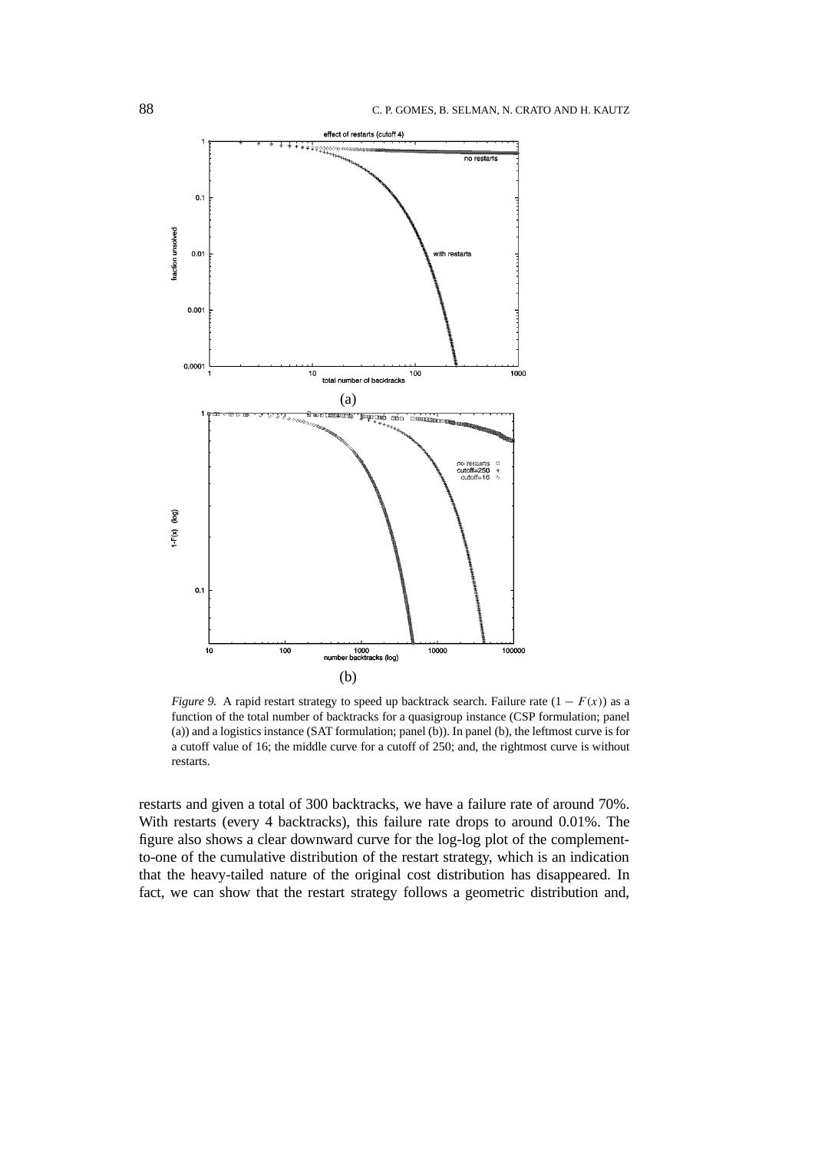

*Figure 9.* A rapid restart strategy to speed up backtrack search. Failure rate  $(1 - F(x))$  as a function of the total number of backtracks for a quasigroup instance (CSP formulation; panel (a)) and a logistics instance (SAT formulation; panel (b)). In panel (b), the leftmost curve is for a cutoff value of 16; the middle curve for a cutoff of 250; and, the rightmost curve is without restarts.

restarts and given a total of 300 backtracks, we have a failure rate of around 70%. With restarts (every 4 backtracks), this failure rate drops to around 0.01%. The figure also shows a clear downward curve for the log-log plot of the complementto-one of the cumulative distribution of the restart strategy, which is an indication that the heavy-tailed nature of the original cost distribution has disappeared. In fact, we can show that the restart strategy follows a geometric distribution and,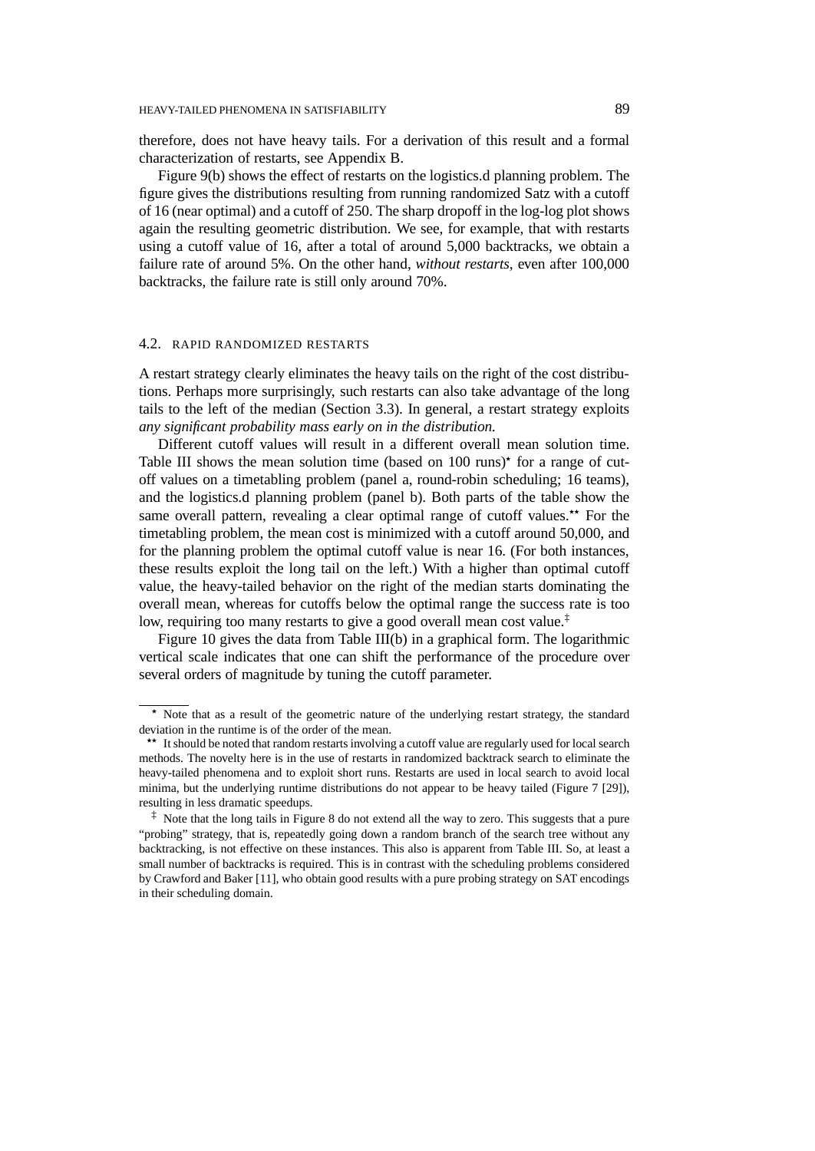therefore, does not have heavy tails. For a derivation of this result and a formal characterization of restarts, see Appendix B.

Figure 9(b) shows the effect of restarts on the logistics.d planning problem. The figure gives the distributions resulting from running randomized Satz with a cutoff of 16 (near optimal) and a cutoff of 250. The sharp dropoff in the log-log plot shows again the resulting geometric distribution. We see, for example, that with restarts using a cutoff value of 16, after a total of around 5,000 backtracks, we obtain a failure rate of around 5%. On the other hand, *without restarts*, even after 100,000 backtracks, the failure rate is still only around 70%.

## 4.2. RAPID RANDOMIZED RESTARTS

A restart strategy clearly eliminates the heavy tails on the right of the cost distributions. Perhaps more surprisingly, such restarts can also take advantage of the long tails to the left of the median (Section 3.3). In general, a restart strategy exploits *any significant probability mass early on in the distribution.*

Different cutoff values will result in a different overall mean solution time. Table III shows the mean solution time (based on 100 runs)<sup>\*</sup> for a range of cutoff values on a timetabling problem (panel a, round-robin scheduling; 16 teams), and the logistics.d planning problem (panel b). Both parts of the table show the same overall pattern, revealing a clear optimal range of cutoff values.<sup>\*\*</sup> For the timetabling problem, the mean cost is minimized with a cutoff around 50,000, and for the planning problem the optimal cutoff value is near 16. (For both instances, these results exploit the long tail on the left.) With a higher than optimal cutoff value, the heavy-tailed behavior on the right of the median starts dominating the overall mean, whereas for cutoffs below the optimal range the success rate is too low, requiring too many restarts to give a good overall mean cost value.‡

Figure 10 gives the data from Table III(b) in a graphical form. The logarithmic vertical scale indicates that one can shift the performance of the procedure over several orders of magnitude by tuning the cutoff parameter.

Note that as a result of the geometric nature of the underlying restart strategy, the standard deviation in the runtime is of the order of the mean.

<sup>\*\*</sup> It should be noted that random restarts involving a cutoff value are regularly used for local search methods. The novelty here is in the use of restarts in randomized backtrack search to eliminate the heavy-tailed phenomena and to exploit short runs. Restarts are used in local search to avoid local minima, but the underlying runtime distributions do not appear to be heavy tailed (Figure 7 [29]), resulting in less dramatic speedups.

<sup>‡</sup> Note that the long tails in Figure 8 do not extend all the way to zero. This suggests that a pure "probing" strategy, that is, repeatedly going down a random branch of the search tree without any backtracking, is not effective on these instances. This also is apparent from Table III. So, at least a small number of backtracks is required. This is in contrast with the scheduling problems considered by Crawford and Baker [11], who obtain good results with a pure probing strategy on SAT encodings in their scheduling domain.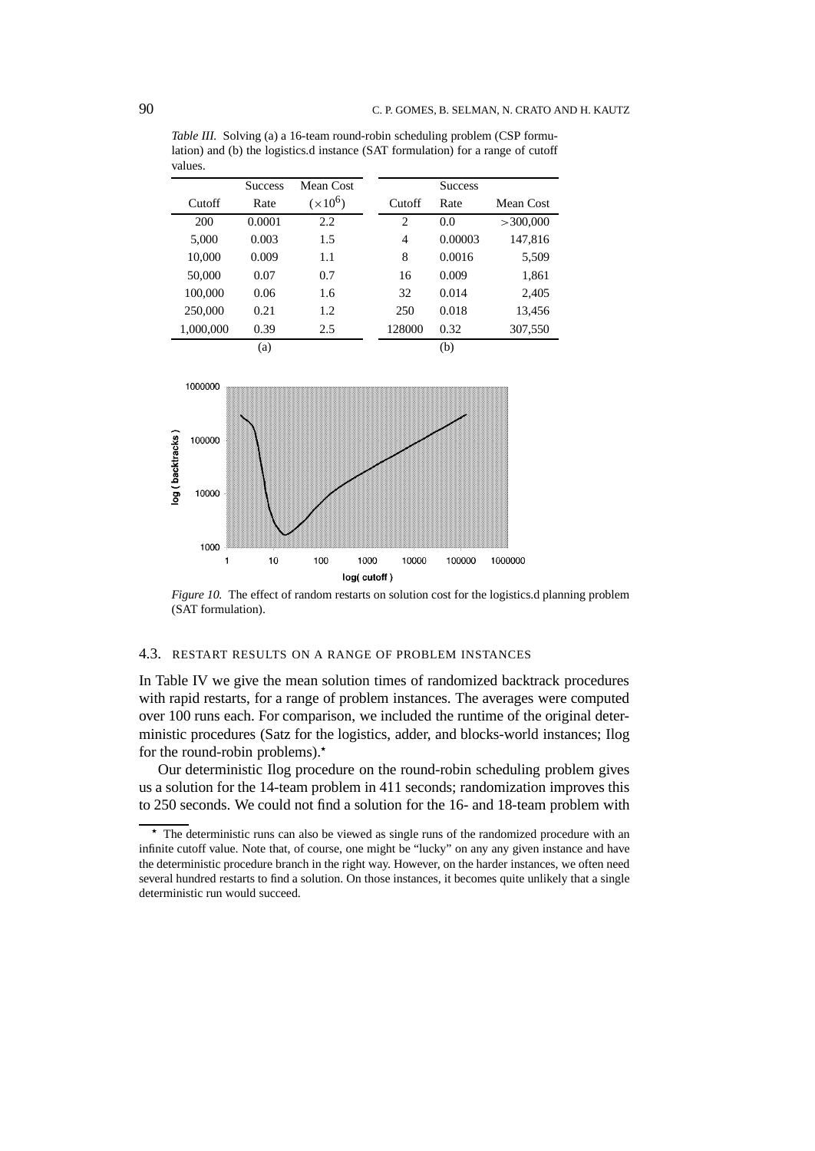*Table III.* Solving (a) a 16-team round-robin scheduling problem (CSP formulation) and (b) the logistics.d instance (SAT formulation) for a range of cutoff values.

|           | <b>Success</b> | Mean Cost |                | <b>Success</b> |           |
|-----------|----------------|-----------|----------------|----------------|-----------|
| Cutoff    | Rate           | $(x10^6)$ | Cutoff         | Rate           | Mean Cost |
| 200       | 0.0001         | 2.2       | $\mathfrak{D}$ | 0.0            | >300,000  |
| 5,000     | 0.003          | 1.5       | 4              | 0.00003        | 147,816   |
| 10,000    | 0.009          | 1.1       | 8              | 0.0016         | 5,509     |
| 50,000    | 0.07           | 0.7       | 16             | 0.009          | 1,861     |
| 100,000   | 0.06           | 1.6       | 32             | 0.014          | 2,405     |
| 250,000   | 0.21           | 1.2       | 250            | 0.018          | 13,456    |
| 1,000,000 | 0.39           | 2.5       | 128000         | 0.32           | 307,550   |
|           | (a)            |           |                | (b)            |           |



*Figure 10.* The effect of random restarts on solution cost for the logistics.d planning problem (SAT formulation).

## 4.3. RESTART RESULTS ON A RANGE OF PROBLEM INSTANCES

In Table IV we give the mean solution times of randomized backtrack procedures with rapid restarts, for a range of problem instances. The averages were computed over 100 runs each. For comparison, we included the runtime of the original deterministic procedures (Satz for the logistics, adder, and blocks-world instances; Ilog for the round-robin problems).*?*

Our deterministic Ilog procedure on the round-robin scheduling problem gives us a solution for the 14-team problem in 411 seconds; randomization improves this to 250 seconds. We could not find a solution for the 16- and 18-team problem with

*<sup>?</sup>* The deterministic runs can also be viewed as single runs of the randomized procedure with an infinite cutoff value. Note that, of course, one might be "lucky" on any any given instance and have the deterministic procedure branch in the right way. However, on the harder instances, we often need several hundred restarts to find a solution. On those instances, it becomes quite unlikely that a single deterministic run would succeed.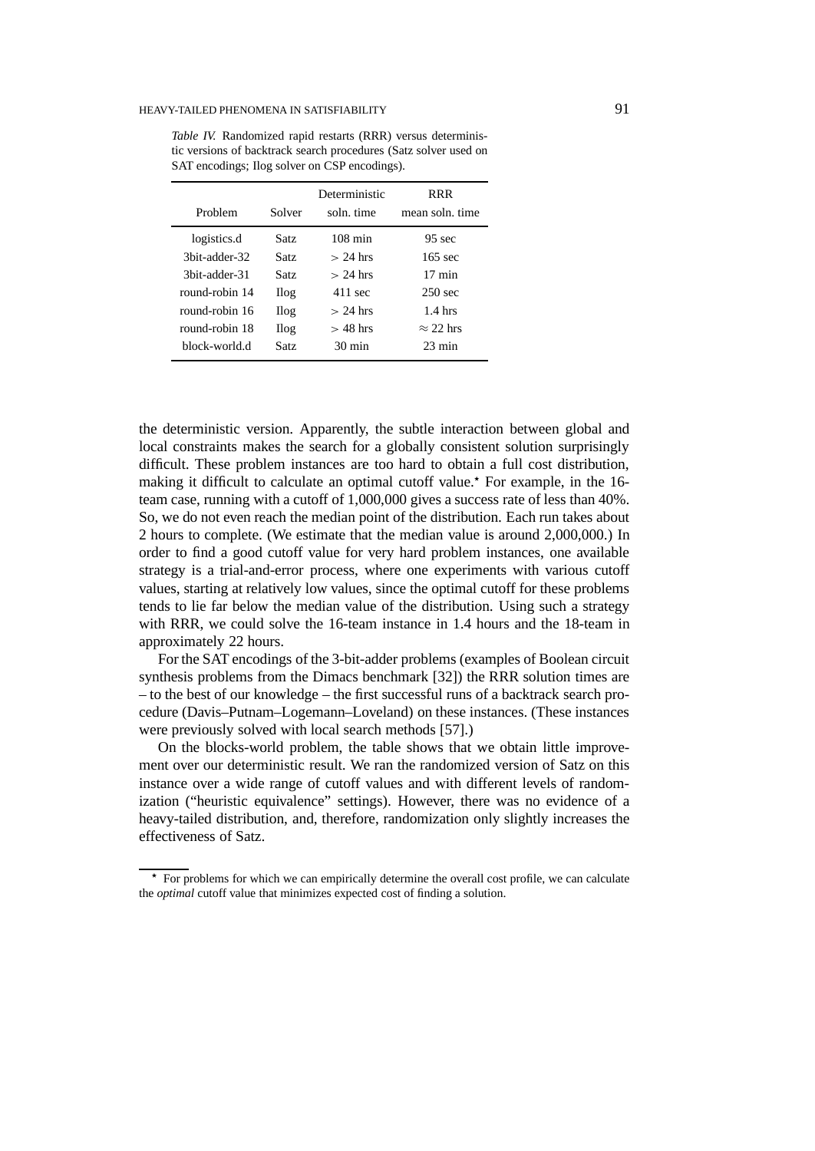#### HEAVY-TAILED PHENOMENA IN SATISFIABILITY 91

| Problem                   | Solver      | Deterministic<br>soln. time | RRR<br>mean soln. time |
|---------------------------|-------------|-----------------------------|------------------------|
| logistics.d               | Satz.       | $108 \text{ min}$           | $95 \text{ sec}$       |
| 3hit-adder-32             | Satz.       | $>$ 24 hrs                  | $165 \text{ sec}$      |
| 3 <sub>bit-adder-31</sub> | Satz.       | $>$ 24 hrs                  | $17 \text{ min}$       |
| round-robin 14            | <b>Ilog</b> | 411 sec                     | $250 \text{ sec}$      |
| round-robin 16            | <b>Ilog</b> | $>$ 24 hrs                  | $1.4 \text{ hrs}$      |
| round-robin 18            | <b>Ilog</b> | $>$ 48 hrs                  | $\approx$ 22 hrs       |
| block-world.d             | Satz.       | $30 \text{ min}$            | $23 \text{ min}$       |

*Table IV.* Randomized rapid restarts (RRR) versus deterministic versions of backtrack search procedures (Satz solver used on SAT encodings; Ilog solver on CSP encodings).

the deterministic version. Apparently, the subtle interaction between global and local constraints makes the search for a globally consistent solution surprisingly difficult. These problem instances are too hard to obtain a full cost distribution, making it difficult to calculate an optimal cutoff value.*?* For example, in the 16 team case, running with a cutoff of 1,000,000 gives a success rate of less than 40%. So, we do not even reach the median point of the distribution. Each run takes about 2 hours to complete. (We estimate that the median value is around 2,000,000.) In order to find a good cutoff value for very hard problem instances, one available strategy is a trial-and-error process, where one experiments with various cutoff values, starting at relatively low values, since the optimal cutoff for these problems tends to lie far below the median value of the distribution. Using such a strategy with RRR, we could solve the 16-team instance in 1.4 hours and the 18-team in approximately 22 hours.

For the SAT encodings of the 3-bit-adder problems (examples of Boolean circuit synthesis problems from the Dimacs benchmark [32]) the RRR solution times are – to the best of our knowledge – the first successful runs of a backtrack search procedure (Davis–Putnam–Logemann–Loveland) on these instances. (These instances were previously solved with local search methods [57].)

On the blocks-world problem, the table shows that we obtain little improvement over our deterministic result. We ran the randomized version of Satz on this instance over a wide range of cutoff values and with different levels of randomization ("heuristic equivalence" settings). However, there was no evidence of a heavy-tailed distribution, and, therefore, randomization only slightly increases the effectiveness of Satz.

<sup>&</sup>lt;sup>\*</sup> For problems for which we can empirically determine the overall cost profile, we can calculate the *optimal* cutoff value that minimizes expected cost of finding a solution.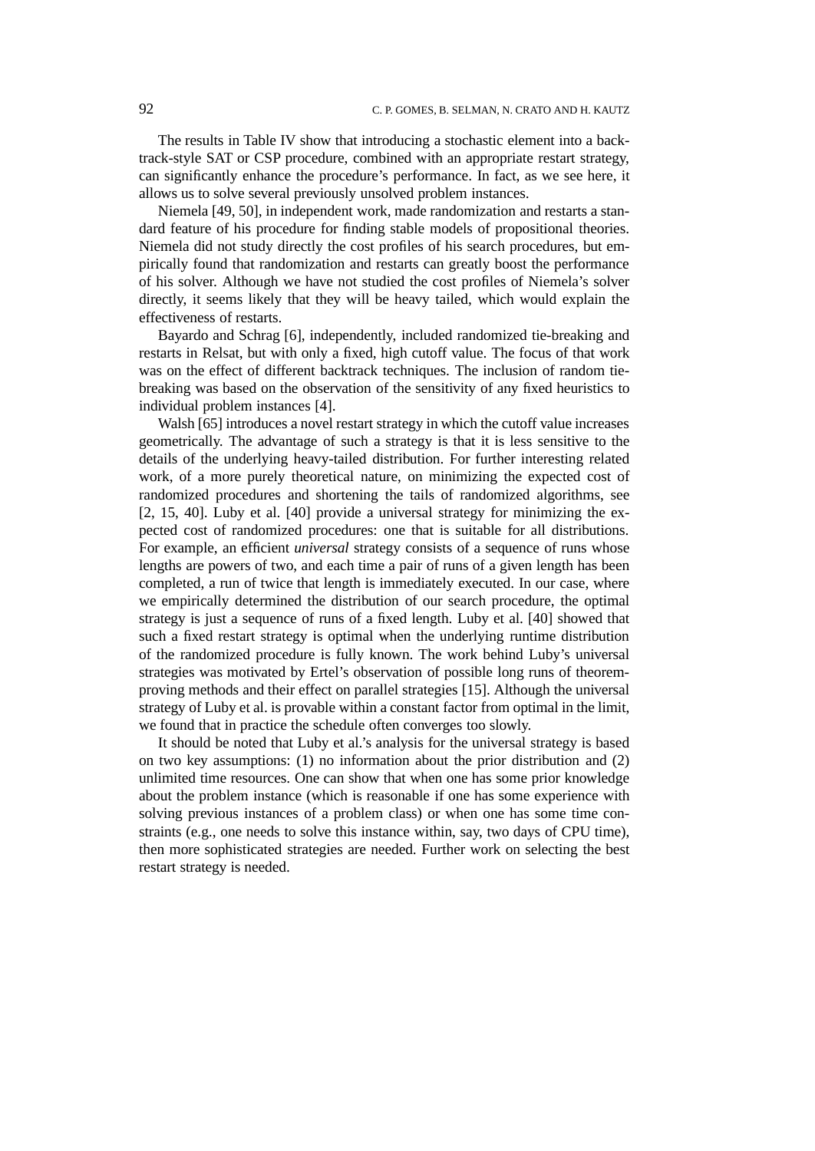The results in Table IV show that introducing a stochastic element into a backtrack-style SAT or CSP procedure, combined with an appropriate restart strategy, can significantly enhance the procedure's performance. In fact, as we see here, it allows us to solve several previously unsolved problem instances.

Niemela [49, 50], in independent work, made randomization and restarts a standard feature of his procedure for finding stable models of propositional theories. Niemela did not study directly the cost profiles of his search procedures, but empirically found that randomization and restarts can greatly boost the performance of his solver. Although we have not studied the cost profiles of Niemela's solver directly, it seems likely that they will be heavy tailed, which would explain the effectiveness of restarts.

Bayardo and Schrag [6], independently, included randomized tie-breaking and restarts in Relsat, but with only a fixed, high cutoff value. The focus of that work was on the effect of different backtrack techniques. The inclusion of random tiebreaking was based on the observation of the sensitivity of any fixed heuristics to individual problem instances [4].

Walsh [65] introduces a novel restart strategy in which the cutoff value increases geometrically. The advantage of such a strategy is that it is less sensitive to the details of the underlying heavy-tailed distribution. For further interesting related work, of a more purely theoretical nature, on minimizing the expected cost of randomized procedures and shortening the tails of randomized algorithms, see [2, 15, 40]. Luby et al. [40] provide a universal strategy for minimizing the expected cost of randomized procedures: one that is suitable for all distributions. For example, an efficient *universal* strategy consists of a sequence of runs whose lengths are powers of two, and each time a pair of runs of a given length has been completed, a run of twice that length is immediately executed. In our case, where we empirically determined the distribution of our search procedure, the optimal strategy is just a sequence of runs of a fixed length. Luby et al. [40] showed that such a fixed restart strategy is optimal when the underlying runtime distribution of the randomized procedure is fully known. The work behind Luby's universal strategies was motivated by Ertel's observation of possible long runs of theoremproving methods and their effect on parallel strategies [15]. Although the universal strategy of Luby et al. is provable within a constant factor from optimal in the limit, we found that in practice the schedule often converges too slowly.

It should be noted that Luby et al.'s analysis for the universal strategy is based on two key assumptions: (1) no information about the prior distribution and (2) unlimited time resources. One can show that when one has some prior knowledge about the problem instance (which is reasonable if one has some experience with solving previous instances of a problem class) or when one has some time constraints (e.g., one needs to solve this instance within, say, two days of CPU time), then more sophisticated strategies are needed. Further work on selecting the best restart strategy is needed.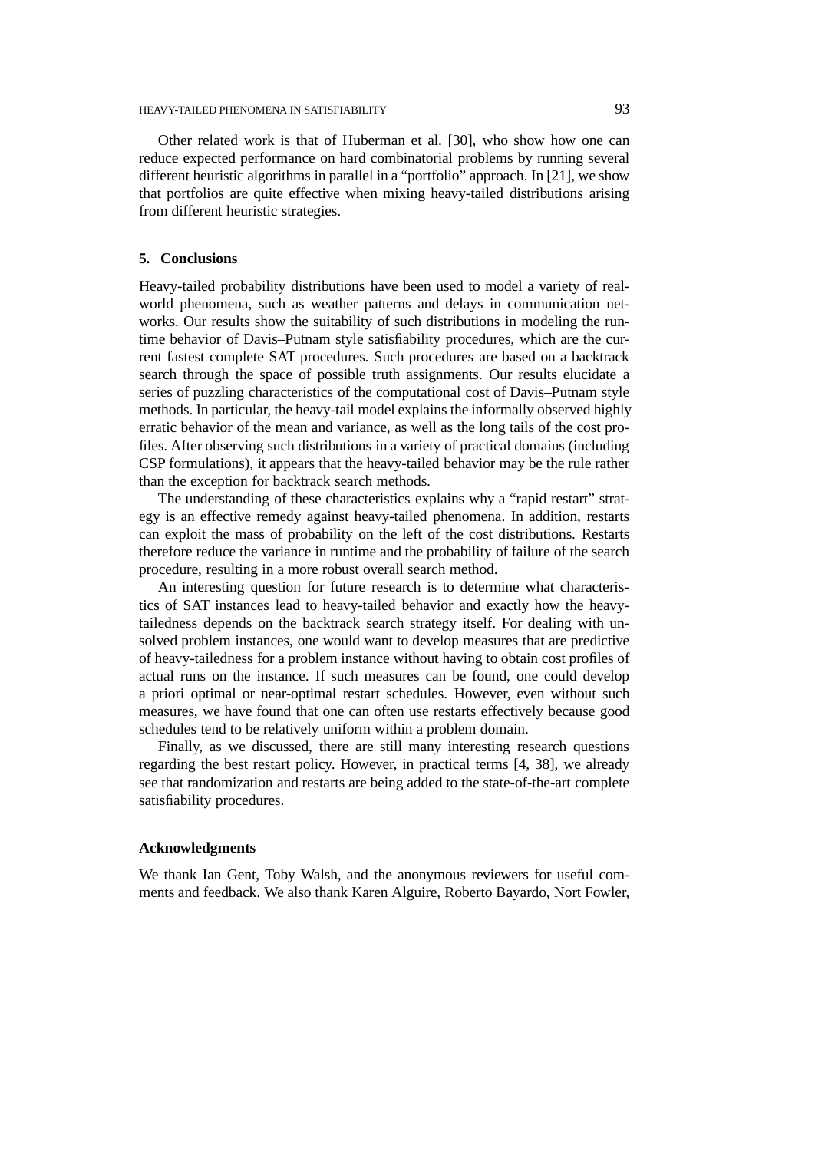Other related work is that of Huberman et al. [30], who show how one can reduce expected performance on hard combinatorial problems by running several different heuristic algorithms in parallel in a "portfolio" approach. In [21], we show that portfolios are quite effective when mixing heavy-tailed distributions arising from different heuristic strategies.

## **5. Conclusions**

Heavy-tailed probability distributions have been used to model a variety of realworld phenomena, such as weather patterns and delays in communication networks. Our results show the suitability of such distributions in modeling the runtime behavior of Davis–Putnam style satisfiability procedures, which are the current fastest complete SAT procedures. Such procedures are based on a backtrack search through the space of possible truth assignments. Our results elucidate a series of puzzling characteristics of the computational cost of Davis–Putnam style methods. In particular, the heavy-tail model explains the informally observed highly erratic behavior of the mean and variance, as well as the long tails of the cost profiles. After observing such distributions in a variety of practical domains (including CSP formulations), it appears that the heavy-tailed behavior may be the rule rather than the exception for backtrack search methods.

The understanding of these characteristics explains why a "rapid restart" strategy is an effective remedy against heavy-tailed phenomena. In addition, restarts can exploit the mass of probability on the left of the cost distributions. Restarts therefore reduce the variance in runtime and the probability of failure of the search procedure, resulting in a more robust overall search method.

An interesting question for future research is to determine what characteristics of SAT instances lead to heavy-tailed behavior and exactly how the heavytailedness depends on the backtrack search strategy itself. For dealing with unsolved problem instances, one would want to develop measures that are predictive of heavy-tailedness for a problem instance without having to obtain cost profiles of actual runs on the instance. If such measures can be found, one could develop a priori optimal or near-optimal restart schedules. However, even without such measures, we have found that one can often use restarts effectively because good schedules tend to be relatively uniform within a problem domain.

Finally, as we discussed, there are still many interesting research questions regarding the best restart policy. However, in practical terms [4, 38], we already see that randomization and restarts are being added to the state-of-the-art complete satisfiability procedures.

#### **Acknowledgments**

We thank Ian Gent, Toby Walsh, and the anonymous reviewers for useful comments and feedback. We also thank Karen Alguire, Roberto Bayardo, Nort Fowler,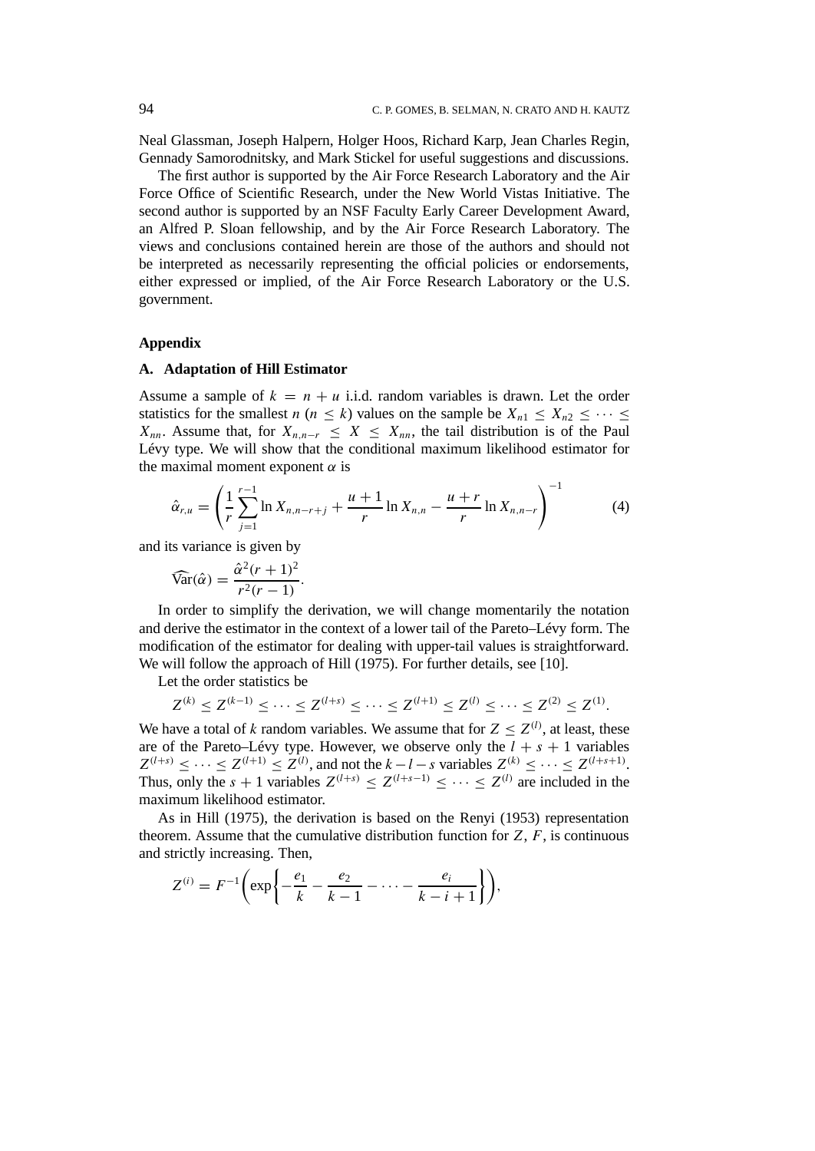Neal Glassman, Joseph Halpern, Holger Hoos, Richard Karp, Jean Charles Regin, Gennady Samorodnitsky, and Mark Stickel for useful suggestions and discussions.

The first author is supported by the Air Force Research Laboratory and the Air Force Office of Scientific Research, under the New World Vistas Initiative. The second author is supported by an NSF Faculty Early Career Development Award, an Alfred P. Sloan fellowship, and by the Air Force Research Laboratory. The views and conclusions contained herein are those of the authors and should not be interpreted as necessarily representing the official policies or endorsements, either expressed or implied, of the Air Force Research Laboratory or the U.S. government.

#### **Appendix**

## **A. Adaptation of Hill Estimator**

Assume a sample of  $k = n + u$  i.i.d. random variables is drawn. Let the order statistics for the smallest *n* ( $n \leq k$ ) values on the sample be  $X_{n_1} \leq X_{n_2} \leq \cdots \leq X_{n_k}$ *X<sub>nn</sub>*. Assume that, for *X<sub>n,n−r</sub>* ≤ *X* ≤ *X<sub>nn</sub>*, the tail distribution is of the Paul Lévy type. We will show that the conditional maximum likelihood estimator for the maximal moment exponent  $\alpha$  is

$$
\hat{\alpha}_{r,u} = \left(\frac{1}{r}\sum_{j=1}^{r-1} \ln X_{n,n-r+j} + \frac{u+1}{r} \ln X_{n,n} - \frac{u+r}{r} \ln X_{n,n-r}\right)^{-1} \tag{4}
$$

and its variance is given by

$$
\widehat{\text{Var}}(\hat{\alpha}) = \frac{\hat{\alpha}^2(r+1)^2}{r^2(r-1)}.
$$

In order to simplify the derivation, we will change momentarily the notation and derive the estimator in the context of a lower tail of the Pareto–Lévy form. The modification of the estimator for dealing with upper-tail values is straightforward. We will follow the approach of Hill (1975). For further details, see [10].

Let the order statistics be

$$
Z^{(k)} \leq Z^{(k-1)} \leq \cdots \leq Z^{(l+s)} \leq \cdots \leq Z^{(l+1)} \leq Z^{(l)} \leq \cdots \leq Z^{(2)} \leq Z^{(1)}.
$$

We have a total of *k* random variables. We assume that for  $Z \leq Z^{(l)}$ , at least, these are of the Pareto–Lévy type. However, we observe only the  $l + s + 1$  variables  $Z^{(l+s)} \leq \cdots \leq Z^{(l+1)} \leq Z^{(l)}$ , and not the  $k - l - s$  variables  $Z^{(k)} \leq \cdots \leq Z^{(l+s+1)}$ . Thus, only the  $s + 1$  variables  $Z^{(l+s)} \le Z^{(l+s-1)} \le \cdots \le Z^{(l)}$  are included in the maximum likelihood estimator.

As in Hill (1975), the derivation is based on the Renyi (1953) representation theorem. Assume that the cumulative distribution function for  $Z$ ,  $F$ , is continuous and strictly increasing. Then,

$$
Z^{(i)} = F^{-1}\bigg(\exp\bigg\{-\frac{e_1}{k} - \frac{e_2}{k-1} - \cdots - \frac{e_i}{k-i+1}\bigg\}\bigg),
$$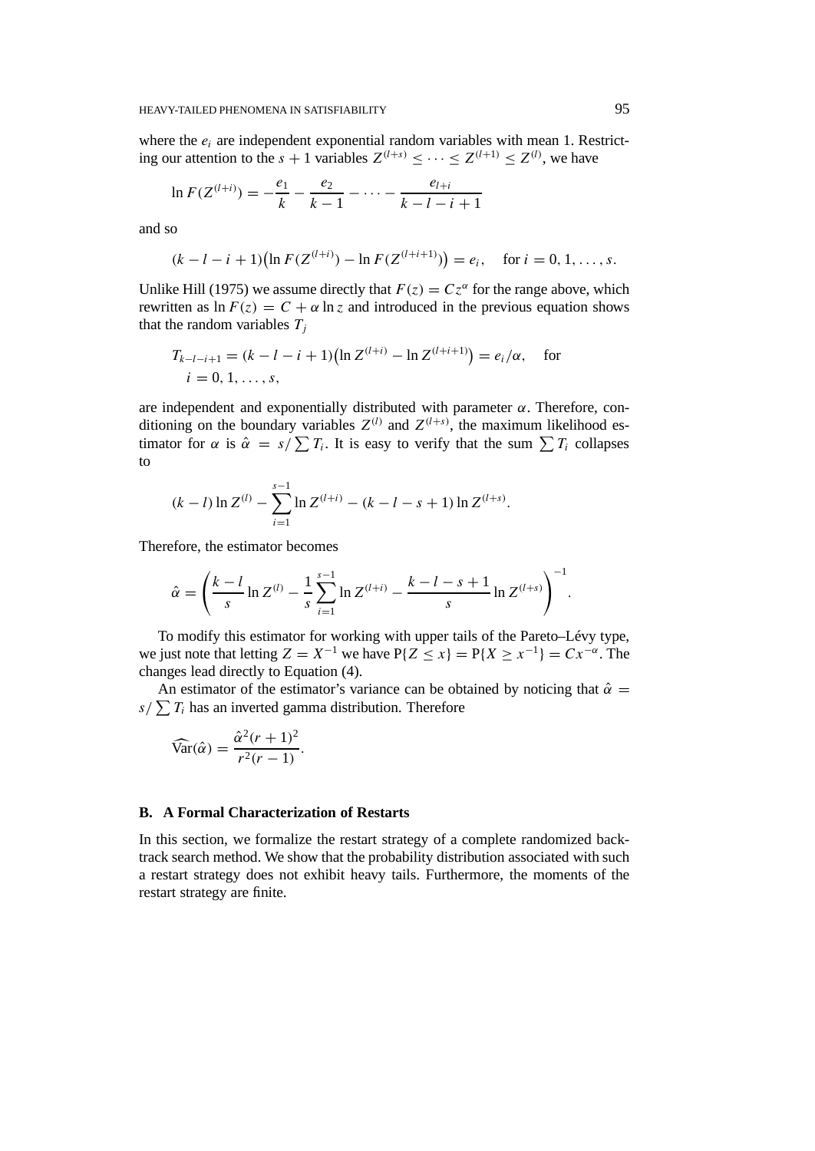where the  $e_i$  are independent exponential random variables with mean 1. Restricting our attention to the  $s + 1$  variables  $Z^{(l+s)} \leq \cdots \leq Z^{(l+1)} \leq Z^{(l)}$ , we have

$$
\ln F(Z^{(l+i)}) = -\frac{e_1}{k} - \frac{e_2}{k-1} - \dots - \frac{e_{l+i}}{k-l-i+1}
$$

and so

$$
(k-l-i+1)\big(\ln F(Z^{(l+i)}) - \ln F(Z^{(l+i+1)})\big) = e_i, \quad \text{for } i = 0, 1, \ldots, s.
$$

Unlike Hill (1975) we assume directly that  $F(z) = Cz^{\alpha}$  for the range above, which rewritten as  $\ln F(z) = C + \alpha \ln z$  and introduced in the previous equation shows that the random variables  $T_i$ 

$$
T_{k-l-i+1} = (k - l - i + 1)(\ln Z^{(l+i)} - \ln Z^{(l+i+1)}) = e_i/\alpha, \text{ for } i = 0, 1, ..., s,
$$

are independent and exponentially distributed with parameter  $\alpha$ . Therefore, conditioning on the boundary variables  $Z^{(l)}$  and  $Z^{(l+s)}$ , the maximum likelihood estimator for  $\alpha$  is  $\hat{\alpha} = s/\sum T_i$ . It is easy to verify that the sum  $\sum T_i$  collapses to

$$
(k-l)\ln Z^{(l)} - \sum_{i=1}^{s-1}\ln Z^{(l+i)} - (k-l-s+1)\ln Z^{(l+s)}.
$$

Therefore, the estimator becomes

$$
\hat{\alpha} = \left(\frac{k-l}{s}\ln Z^{(l)} - \frac{1}{s}\sum_{i=1}^{s-1}\ln Z^{(l+i)} - \frac{k-l-s+1}{s}\ln Z^{(l+s)}\right)^{-1}.
$$

To modify this estimator for working with upper tails of the Pareto–Lévy type, we just note that letting  $Z = X^{-1}$  we have  $P\{Z \le x\} = P\{X \ge x^{-1}\} = Cx^{-\alpha}$ . The changes lead directly to Equation (4).

An estimator of the estimator's variance can be obtained by noticing that  $\hat{\alpha} =$  $s/\sum T_i$  has an inverted gamma distribution. Therefore

$$
\widehat{\text{Var}}(\hat{\alpha}) = \frac{\hat{\alpha}^2(r+1)^2}{r^2(r-1)}.
$$

#### **B. A Formal Characterization of Restarts**

In this section, we formalize the restart strategy of a complete randomized backtrack search method. We show that the probability distribution associated with such a restart strategy does not exhibit heavy tails. Furthermore, the moments of the restart strategy are finite.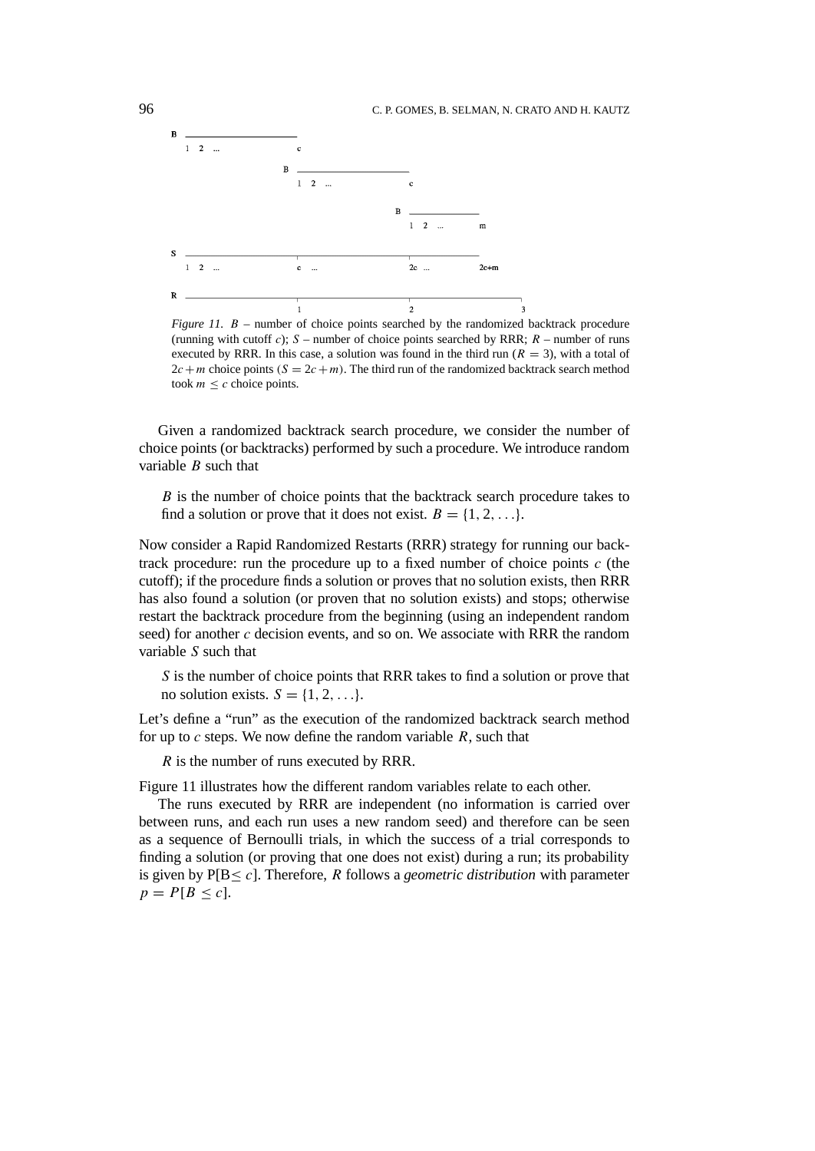

*Figure 11. B* – number of choice points searched by the randomized backtrack procedure (running with cutoff *c*); *S* – number of choice points searched by RRR; *R* – number of runs executed by RRR. In this case, a solution was found in the third run  $(R = 3)$ , with a total of  $2c + m$  choice points  $(S = 2c + m)$ . The third run of the randomized backtrack search method took  $m < c$  choice points.

Given a randomized backtrack search procedure, we consider the number of choice points (or backtracks) performed by such a procedure. We introduce random variable *B* such that

*B* is the number of choice points that the backtrack search procedure takes to find a solution or prove that it does not exist.  $B = \{1, 2, ...\}$ .

Now consider a Rapid Randomized Restarts (RRR) strategy for running our backtrack procedure: run the procedure up to a fixed number of choice points *c* (the cutoff); if the procedure finds a solution or proves that no solution exists, then RRR has also found a solution (or proven that no solution exists) and stops; otherwise restart the backtrack procedure from the beginning (using an independent random seed) for another *c* decision events, and so on. We associate with RRR the random variable *S* such that

*S* is the number of choice points that RRR takes to find a solution or prove that no solution exists.  $S = \{1, 2, \ldots\}$ .

Let's define a "run" as the execution of the randomized backtrack search method for up to *c* steps. We now define the random variable *R*, such that

*R* is the number of runs executed by RRR.

Figure 11 illustrates how the different random variables relate to each other.

The runs executed by RRR are independent (no information is carried over between runs, and each run uses a new random seed) and therefore can be seen as a sequence of Bernoulli trials, in which the success of a trial corresponds to finding a solution (or proving that one does not exist) during a run; its probability is given by  $P[B \leq c]$ . Therefore, *R* follows a *geometric distribution* with parameter  $p = P[B \leq c].$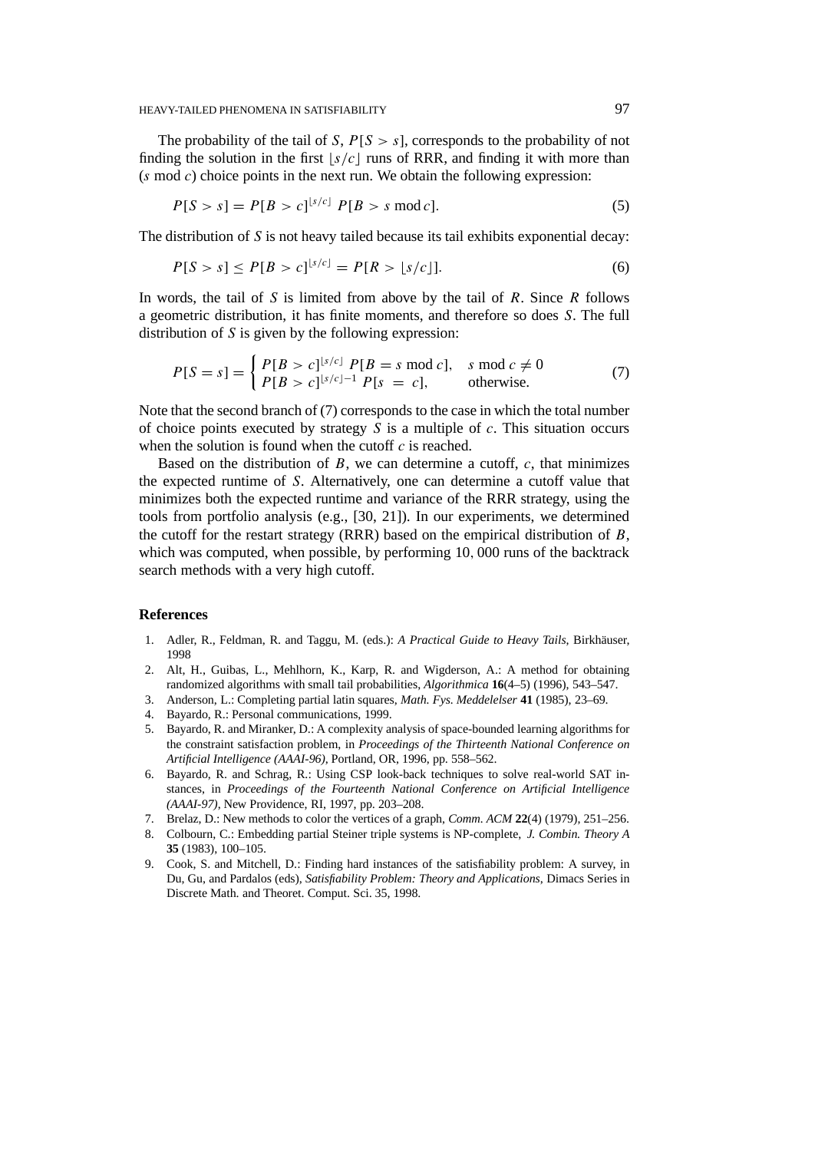HEAVY-TAILED PHENOMENA IN SATISFIABILITY 97

The probability of the tail of *S*,  $P[S > s]$ , corresponds to the probability of not finding the solution in the first  $|s/c|$  runs of RRR, and finding it with more than (*s* mod *c*) choice points in the next run. We obtain the following expression:

$$
P[S > s] = P[B > c]^{\lfloor s/c \rfloor} P[B > s \mod c]. \tag{5}
$$

The distribution of *S* is not heavy tailed because its tail exhibits exponential decay:

$$
P[S > s] \le P[B > c]^{\lfloor s/c \rfloor} = P[R > \lfloor s/c \rfloor].\tag{6}
$$

In words, the tail of *S* is limited from above by the tail of *R*. Since *R* follows a geometric distribution, it has finite moments, and therefore so does *S*. The full distribution of *S* is given by the following expression:

$$
P[S = s] = \begin{cases} P[B > c]^{\lfloor s/c \rfloor} P[B = s \text{ mod } c], & s \text{ mod } c \neq 0 \\ P[B > c]^{\lfloor s/c \rfloor - 1} P[s = c], & \text{otherwise.} \end{cases}
$$
(7)

Note that the second branch of (7) corresponds to the case in which the total number of choice points executed by strategy *S* is a multiple of *c*. This situation occurs when the solution is found when the cutoff *c* is reached.

Based on the distribution of  $B$ , we can determine a cutoff,  $c$ , that minimizes the expected runtime of *S*. Alternatively, one can determine a cutoff value that minimizes both the expected runtime and variance of the RRR strategy, using the tools from portfolio analysis (e.g., [30, 21]). In our experiments, we determined the cutoff for the restart strategy (RRR) based on the empirical distribution of *B*, which was computed, when possible, by performing 10*,* 000 runs of the backtrack search methods with a very high cutoff.

## **References**

- 1. Adler, R., Feldman, R. and Taggu, M. (eds.): *A Practical Guide to Heavy Tails*, Birkhäuser, 1998
- 2. Alt, H., Guibas, L., Mehlhorn, K., Karp, R. and Wigderson, A.: A method for obtaining randomized algorithms with small tail probabilities, *Algorithmica* **16**(4–5) (1996), 543–547.
- 3. Anderson, L.: Completing partial latin squares, *Math. Fys. Meddelelser* **41** (1985), 23–69.
- 4. Bayardo, R.: Personal communications, 1999.
- 5. Bayardo, R. and Miranker, D.: A complexity analysis of space-bounded learning algorithms for the constraint satisfaction problem, in *Proceedings of the Thirteenth National Conference on Artificial Intelligence (AAAI-96)*, Portland, OR, 1996, pp. 558–562.
- 6. Bayardo, R. and Schrag, R.: Using CSP look-back techniques to solve real-world SAT instances, in *Proceedings of the Fourteenth National Conference on Artificial Intelligence (AAAI-97)*, New Providence, RI, 1997, pp. 203–208.
- 7. Brelaz, D.: New methods to color the vertices of a graph, *Comm. ACM* **22**(4) (1979), 251–256.
- 8. Colbourn, C.: Embedding partial Steiner triple systems is NP-complete, *J. Combin. Theory A* **35** (1983), 100–105.
- 9. Cook, S. and Mitchell, D.: Finding hard instances of the satisfiability problem: A survey, in Du, Gu, and Pardalos (eds), *Satisfiability Problem: Theory and Applications*, Dimacs Series in Discrete Math. and Theoret. Comput. Sci. 35, 1998.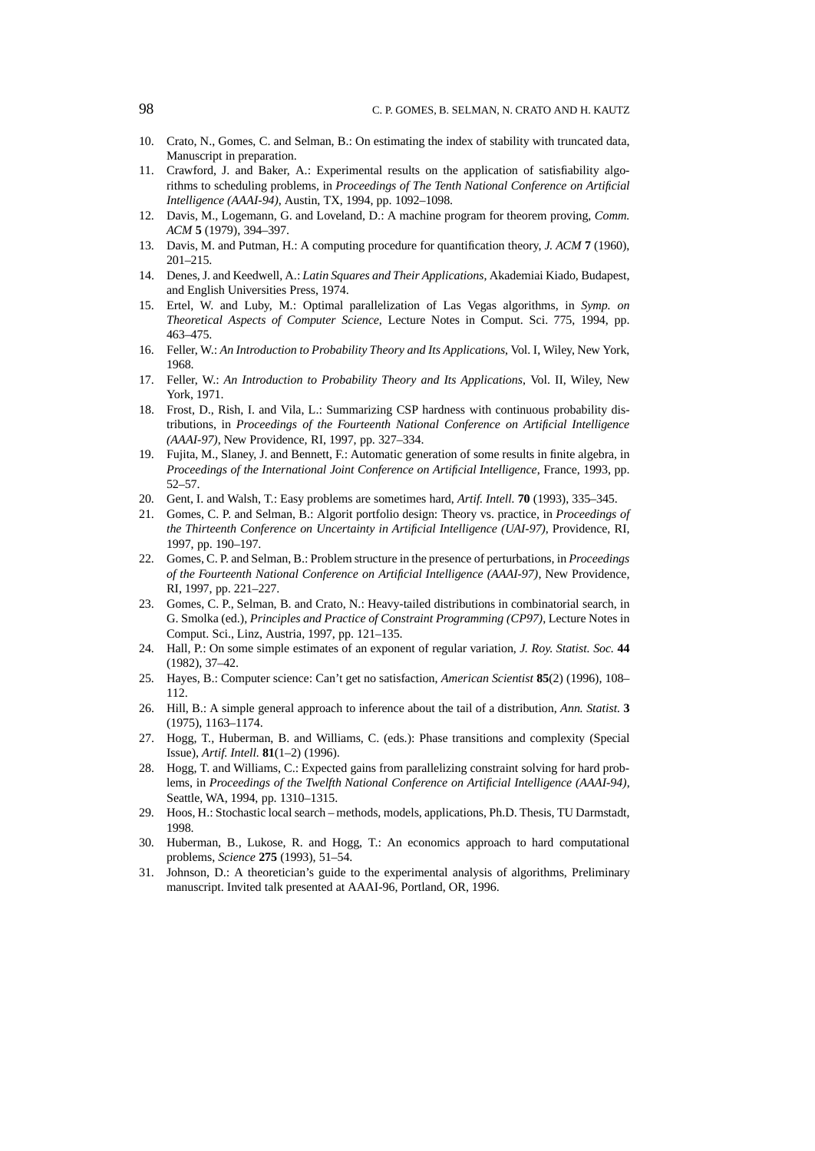- 10. Crato, N., Gomes, C. and Selman, B.: On estimating the index of stability with truncated data, Manuscript in preparation.
- 11. Crawford, J. and Baker, A.: Experimental results on the application of satisfiability algorithms to scheduling problems, in *Proceedings of The Tenth National Conference on Artificial Intelligence (AAAI-94)*, Austin, TX, 1994, pp. 1092–1098.
- 12. Davis, M., Logemann, G. and Loveland, D.: A machine program for theorem proving, *Comm. ACM* **5** (1979), 394–397.
- 13. Davis, M. and Putman, H.: A computing procedure for quantification theory, *J. ACM* **7** (1960), 201–215.
- 14. Denes, J. and Keedwell, A.: *Latin Squares and Their Applications*, Akademiai Kiado, Budapest, and English Universities Press, 1974.
- 15. Ertel, W. and Luby, M.: Optimal parallelization of Las Vegas algorithms, in *Symp. on Theoretical Aspects of Computer Science*, Lecture Notes in Comput. Sci. 775, 1994, pp. 463–475.
- 16. Feller, W.: *An Introduction to Probability Theory and Its Applications*, Vol. I, Wiley, New York, 1968.
- 17. Feller, W.: *An Introduction to Probability Theory and Its Applications*, Vol. II, Wiley, New York, 1971.
- 18. Frost, D., Rish, I. and Vila, L.: Summarizing CSP hardness with continuous probability distributions, in *Proceedings of the Fourteenth National Conference on Artificial Intelligence (AAAI-97)*, New Providence, RI, 1997, pp. 327–334.
- 19. Fujita, M., Slaney, J. and Bennett, F.: Automatic generation of some results in finite algebra, in *Proceedings of the International Joint Conference on Artificial Intelligence*, France, 1993, pp. 52–57.
- 20. Gent, I. and Walsh, T.: Easy problems are sometimes hard, *Artif. Intell.* **70** (1993), 335–345.
- 21. Gomes, C. P. and Selman, B.: Algorit portfolio design: Theory vs. practice, in *Proceedings of the Thirteenth Conference on Uncertainty in Artificial Intelligence (UAI-97)*, Providence, RI, 1997, pp. 190–197.
- 22. Gomes, C. P. and Selman, B.: Problem structure in the presence of perturbations, in *Proceedings of the Fourteenth National Conference on Artificial Intelligence (AAAI-97)*, New Providence, RI, 1997, pp. 221–227.
- 23. Gomes, C. P., Selman, B. and Crato, N.: Heavy-tailed distributions in combinatorial search, in G. Smolka (ed.), *Principles and Practice of Constraint Programming (CP97)*, Lecture Notes in Comput. Sci., Linz, Austria, 1997, pp. 121–135.
- 24. Hall, P.: On some simple estimates of an exponent of regular variation, *J. Roy. Statist. Soc.* **44** (1982), 37–42.
- 25. Hayes, B.: Computer science: Can't get no satisfaction, *American Scientist* **85**(2) (1996), 108– 112.
- 26. Hill, B.: A simple general approach to inference about the tail of a distribution, *Ann. Statist.* **3** (1975), 1163–1174.
- 27. Hogg, T., Huberman, B. and Williams, C. (eds.): Phase transitions and complexity (Special Issue), *Artif. Intell.* **81**(1–2) (1996).
- 28. Hogg, T. and Williams, C.: Expected gains from parallelizing constraint solving for hard problems, in *Proceedings of the Twelfth National Conference on Artificial Intelligence (AAAI-94)*, Seattle, WA, 1994, pp. 1310–1315.
- 29. Hoos, H.: Stochastic local search methods, models, applications, Ph.D. Thesis, TU Darmstadt, 1998.
- 30. Huberman, B., Lukose, R. and Hogg, T.: An economics approach to hard computational problems, *Science* **275** (1993), 51–54.
- 31. Johnson, D.: A theoretician's guide to the experimental analysis of algorithms, Preliminary manuscript. Invited talk presented at AAAI-96, Portland, OR, 1996.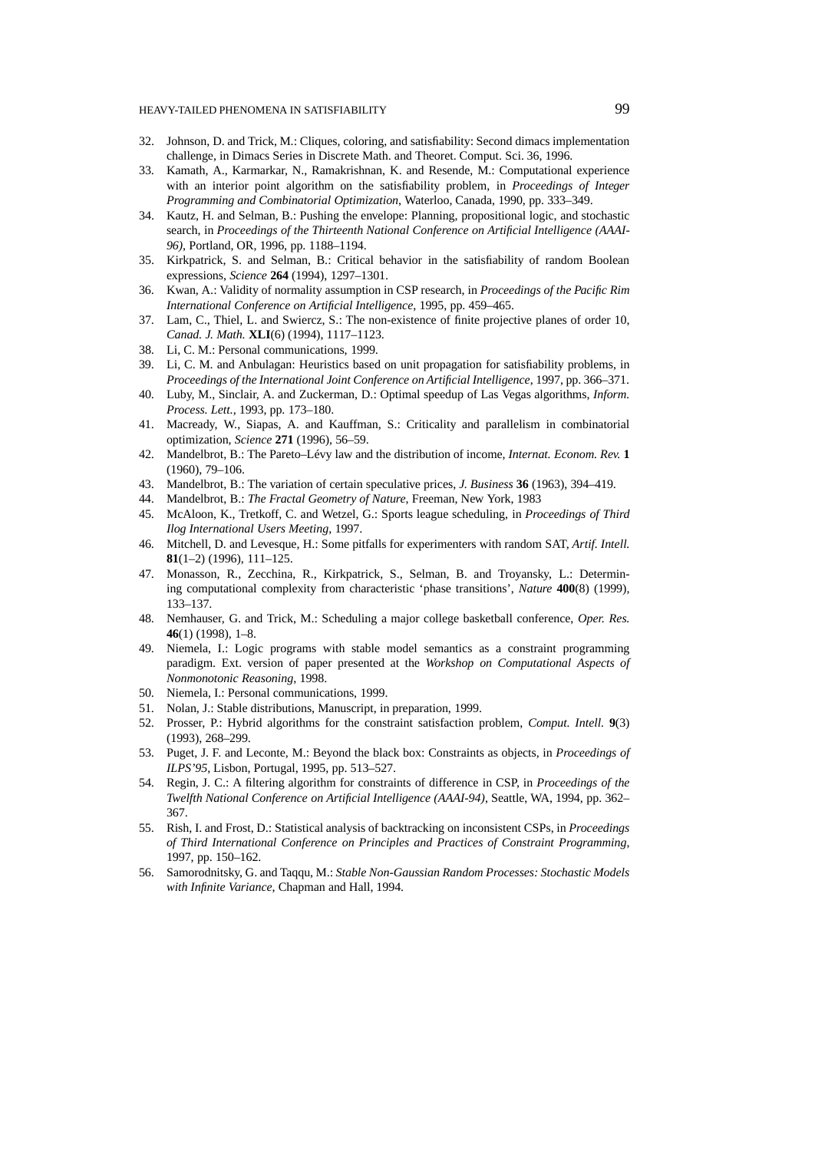- 32. Johnson, D. and Trick, M.: Cliques, coloring, and satisfiability: Second dimacs implementation challenge, in Dimacs Series in Discrete Math. and Theoret. Comput. Sci. 36, 1996.
- 33. Kamath, A., Karmarkar, N., Ramakrishnan, K. and Resende, M.: Computational experience with an interior point algorithm on the satisfiability problem, in *Proceedings of Integer Programming and Combinatorial Optimization*, Waterloo, Canada, 1990, pp. 333–349.
- 34. Kautz, H. and Selman, B.: Pushing the envelope: Planning, propositional logic, and stochastic search, in *Proceedings of the Thirteenth National Conference on Artificial Intelligence (AAAI-96)*, Portland, OR, 1996, pp. 1188–1194.
- 35. Kirkpatrick, S. and Selman, B.: Critical behavior in the satisfiability of random Boolean expressions, *Science* **264** (1994), 1297–1301.
- 36. Kwan, A.: Validity of normality assumption in CSP research, in *Proceedings of the Pacific Rim International Conference on Artificial Intelligence*, 1995, pp. 459–465.
- 37. Lam, C., Thiel, L. and Swiercz, S.: The non-existence of finite projective planes of order 10, *Canad. J. Math.* **XLI**(6) (1994), 1117–1123.
- 38. Li, C. M.: Personal communications, 1999.
- 39. Li, C. M. and Anbulagan: Heuristics based on unit propagation for satisfiability problems, in *Proceedings of the International Joint Conference on Artificial Intelligence*, 1997, pp. 366–371.
- 40. Luby, M., Sinclair, A. and Zuckerman, D.: Optimal speedup of Las Vegas algorithms, *Inform. Process. Lett.*, 1993, pp. 173–180.
- 41. Macready, W., Siapas, A. and Kauffman, S.: Criticality and parallelism in combinatorial optimization, *Science* **271** (1996), 56–59.
- 42. Mandelbrot, B.: The Pareto–Lévy law and the distribution of income, *Internat. Econom. Rev.* **1** (1960), 79–106.
- 43. Mandelbrot, B.: The variation of certain speculative prices, *J. Business* **36** (1963), 394–419.
- 44. Mandelbrot, B.: *The Fractal Geometry of Nature*, Freeman, New York, 1983
- 45. McAloon, K., Tretkoff, C. and Wetzel, G.: Sports league scheduling, in *Proceedings of Third Ilog International Users Meeting*, 1997.
- 46. Mitchell, D. and Levesque, H.: Some pitfalls for experimenters with random SAT, *Artif. Intell.* **81**(1–2) (1996), 111–125.
- 47. Monasson, R., Zecchina, R., Kirkpatrick, S., Selman, B. and Troyansky, L.: Determining computational complexity from characteristic 'phase transitions', *Nature* **400**(8) (1999), 133–137.
- 48. Nemhauser, G. and Trick, M.: Scheduling a major college basketball conference, *Oper. Res.* **46**(1) (1998), 1–8.
- 49. Niemela, I.: Logic programs with stable model semantics as a constraint programming paradigm. Ext. version of paper presented at the *Workshop on Computational Aspects of Nonmonotonic Reasoning*, 1998.
- 50. Niemela, I.: Personal communications, 1999.
- 51. Nolan, J.: Stable distributions, Manuscript, in preparation, 1999.
- 52. Prosser, P.: Hybrid algorithms for the constraint satisfaction problem, *Comput. Intell.* **9**(3) (1993), 268–299.
- 53. Puget, J. F. and Leconte, M.: Beyond the black box: Constraints as objects, in *Proceedings of ILPS'95*, Lisbon, Portugal, 1995, pp. 513–527.
- 54. Regin, J. C.: A filtering algorithm for constraints of difference in CSP, in *Proceedings of the Twelfth National Conference on Artificial Intelligence (AAAI-94)*, Seattle, WA, 1994, pp. 362– 367.
- 55. Rish, I. and Frost, D.: Statistical analysis of backtracking on inconsistent CSPs, in *Proceedings of Third International Conference on Principles and Practices of Constraint Programming*, 1997, pp. 150–162.
- 56. Samorodnitsky, G. and Taqqu, M.: *Stable Non-Gaussian Random Processes: Stochastic Models with Infinite Variance*, Chapman and Hall, 1994.